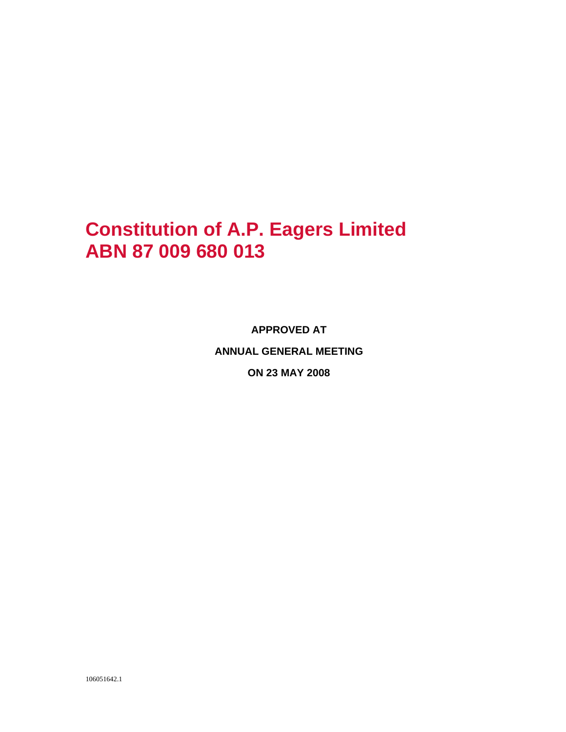# **Constitution of A.P. Eagers Limited ABN 87 009 680 013**

**APPROVED AT ANNUAL GENERAL MEETING ON 23 MAY 2008**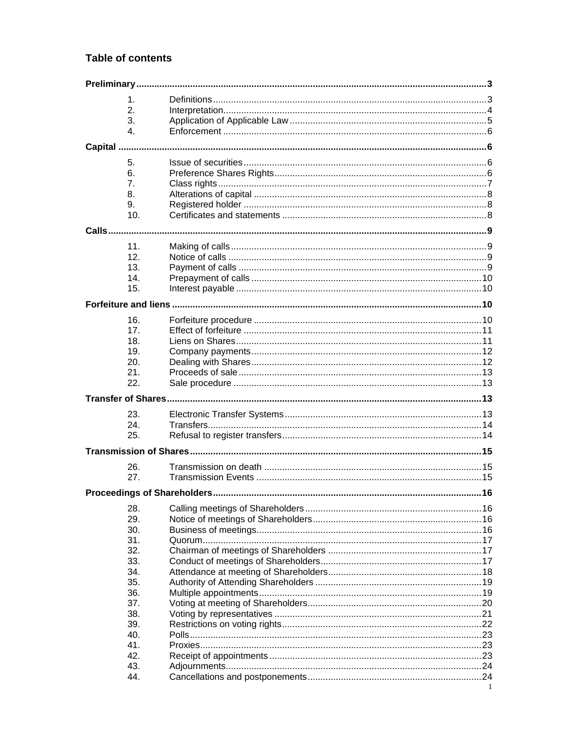#### **Table of contents**

|  | $\mathbf 1$ .   |  |   |  |  |  |
|--|-----------------|--|---|--|--|--|
|  | 2.              |  |   |  |  |  |
|  | 3.              |  |   |  |  |  |
|  | $\mathbf{4}$ .  |  |   |  |  |  |
|  |                 |  |   |  |  |  |
|  |                 |  |   |  |  |  |
|  | 5.              |  |   |  |  |  |
|  | 6.              |  |   |  |  |  |
|  | 7.              |  |   |  |  |  |
|  | 8.              |  |   |  |  |  |
|  | 9.              |  |   |  |  |  |
|  | 10.             |  |   |  |  |  |
|  |                 |  |   |  |  |  |
|  |                 |  |   |  |  |  |
|  | 11.             |  |   |  |  |  |
|  | 12.             |  |   |  |  |  |
|  | 13.             |  |   |  |  |  |
|  | 14.             |  |   |  |  |  |
|  | 15.             |  |   |  |  |  |
|  |                 |  |   |  |  |  |
|  | 16.             |  |   |  |  |  |
|  | 17 <sub>1</sub> |  |   |  |  |  |
|  | 18.             |  |   |  |  |  |
|  | 19.             |  |   |  |  |  |
|  | 20.             |  |   |  |  |  |
|  | 21.             |  |   |  |  |  |
|  | 22.             |  |   |  |  |  |
|  |                 |  |   |  |  |  |
|  |                 |  |   |  |  |  |
|  | 23.             |  |   |  |  |  |
|  | 24.             |  |   |  |  |  |
|  | 25.             |  |   |  |  |  |
|  |                 |  |   |  |  |  |
|  | 26.             |  |   |  |  |  |
|  | 27.             |  |   |  |  |  |
|  |                 |  |   |  |  |  |
|  |                 |  |   |  |  |  |
|  | 28.             |  |   |  |  |  |
|  | 29.             |  |   |  |  |  |
|  | 30.             |  |   |  |  |  |
|  | 31.             |  |   |  |  |  |
|  | 32.             |  |   |  |  |  |
|  | 33.             |  |   |  |  |  |
|  | 34.             |  |   |  |  |  |
|  | 35.             |  |   |  |  |  |
|  | 36.             |  |   |  |  |  |
|  | 37.             |  |   |  |  |  |
|  | 38.             |  |   |  |  |  |
|  | 39.             |  |   |  |  |  |
|  | 40.             |  |   |  |  |  |
|  | 41.             |  |   |  |  |  |
|  | 42.             |  |   |  |  |  |
|  | 43.             |  |   |  |  |  |
|  | 44.             |  | 1 |  |  |  |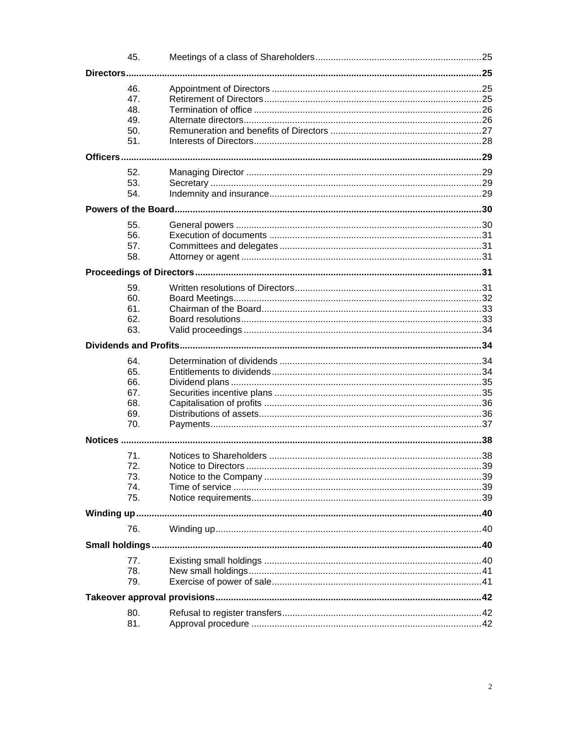|          | 45.        |  |  |  |  |  |
|----------|------------|--|--|--|--|--|
|          |            |  |  |  |  |  |
|          | 46.        |  |  |  |  |  |
|          | 47.        |  |  |  |  |  |
|          | 48.        |  |  |  |  |  |
|          |            |  |  |  |  |  |
|          | 49.        |  |  |  |  |  |
|          | 50.<br>51. |  |  |  |  |  |
|          |            |  |  |  |  |  |
| Officers |            |  |  |  |  |  |
|          | 52.        |  |  |  |  |  |
|          | 53.        |  |  |  |  |  |
|          | 54.        |  |  |  |  |  |
|          |            |  |  |  |  |  |
|          |            |  |  |  |  |  |
|          | 55.        |  |  |  |  |  |
|          | 56.        |  |  |  |  |  |
|          | 57.        |  |  |  |  |  |
|          | 58.        |  |  |  |  |  |
|          |            |  |  |  |  |  |
|          | 59.        |  |  |  |  |  |
|          | 60.        |  |  |  |  |  |
|          | 61.        |  |  |  |  |  |
|          | 62.        |  |  |  |  |  |
|          | 63.        |  |  |  |  |  |
|          |            |  |  |  |  |  |
|          |            |  |  |  |  |  |
|          | 64.        |  |  |  |  |  |
|          | 65.        |  |  |  |  |  |
|          | 66.        |  |  |  |  |  |
|          | 67.        |  |  |  |  |  |
|          | 68.        |  |  |  |  |  |
|          | 69.        |  |  |  |  |  |
|          | 70.        |  |  |  |  |  |
|          |            |  |  |  |  |  |
|          | 71.        |  |  |  |  |  |
|          | 72.        |  |  |  |  |  |
|          | 73.        |  |  |  |  |  |
|          | 74.        |  |  |  |  |  |
|          | 75.        |  |  |  |  |  |
|          |            |  |  |  |  |  |
|          |            |  |  |  |  |  |
|          | 76.        |  |  |  |  |  |
|          |            |  |  |  |  |  |
|          | 77.        |  |  |  |  |  |
|          | 78.        |  |  |  |  |  |
|          | 79.        |  |  |  |  |  |
|          |            |  |  |  |  |  |
|          |            |  |  |  |  |  |
|          | 80.        |  |  |  |  |  |
|          | 81.        |  |  |  |  |  |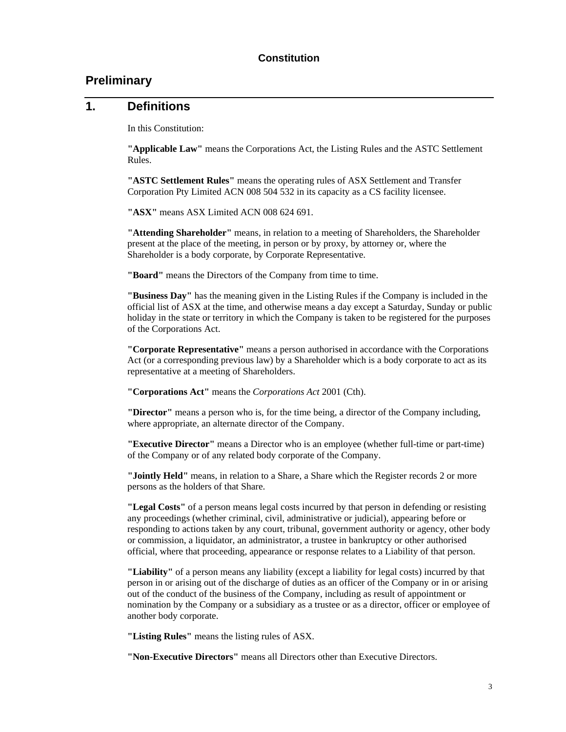# **Preliminary**

#### **1. Definitions**

In this Constitution:

**"Applicable Law"** means the Corporations Act, the Listing Rules and the ASTC Settlement Rules.

**"ASTC Settlement Rules"** means the operating rules of ASX Settlement and Transfer Corporation Pty Limited ACN 008 504 532 in its capacity as a CS facility licensee.

**"ASX"** means ASX Limited ACN 008 624 691.

**"Attending Shareholder"** means, in relation to a meeting of Shareholders, the Shareholder present at the place of the meeting, in person or by proxy, by attorney or, where the Shareholder is a body corporate, by Corporate Representative.

**"Board"** means the Directors of the Company from time to time.

**"Business Day"** has the meaning given in the Listing Rules if the Company is included in the official list of ASX at the time, and otherwise means a day except a Saturday, Sunday or public holiday in the state or territory in which the Company is taken to be registered for the purposes of the Corporations Act.

**"Corporate Representative"** means a person authorised in accordance with the Corporations Act (or a corresponding previous law) by a Shareholder which is a body corporate to act as its representative at a meeting of Shareholders.

**"Corporations Act"** means the *Corporations Act* 2001 (Cth).

**"Director"** means a person who is, for the time being, a director of the Company including, where appropriate, an alternate director of the Company.

**"Executive Director"** means a Director who is an employee (whether full-time or part-time) of the Company or of any related body corporate of the Company.

**"Jointly Held"** means, in relation to a Share, a Share which the Register records 2 or more persons as the holders of that Share.

**"Legal Costs"** of a person means legal costs incurred by that person in defending or resisting any proceedings (whether criminal, civil, administrative or judicial), appearing before or responding to actions taken by any court, tribunal, government authority or agency, other body or commission, a liquidator, an administrator, a trustee in bankruptcy or other authorised official, where that proceeding, appearance or response relates to a Liability of that person.

**"Liability"** of a person means any liability (except a liability for legal costs) incurred by that person in or arising out of the discharge of duties as an officer of the Company or in or arising out of the conduct of the business of the Company, including as result of appointment or nomination by the Company or a subsidiary as a trustee or as a director, officer or employee of another body corporate.

**"Listing Rules"** means the listing rules of ASX.

**"Non-Executive Directors"** means all Directors other than Executive Directors.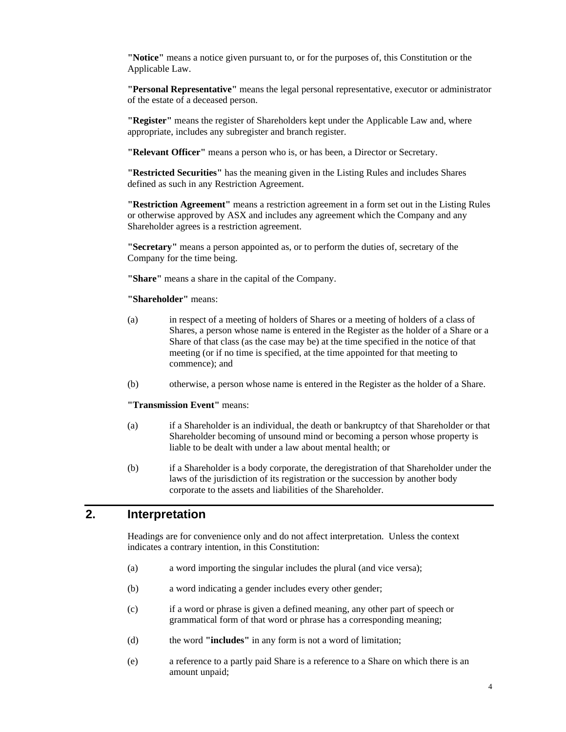**"Notice"** means a notice given pursuant to, or for the purposes of, this Constitution or the Applicable Law.

**"Personal Representative"** means the legal personal representative, executor or administrator of the estate of a deceased person.

**"Register"** means the register of Shareholders kept under the Applicable Law and, where appropriate, includes any subregister and branch register.

**"Relevant Officer"** means a person who is, or has been, a Director or Secretary.

**"Restricted Securities"** has the meaning given in the Listing Rules and includes Shares defined as such in any Restriction Agreement.

**"Restriction Agreement"** means a restriction agreement in a form set out in the Listing Rules or otherwise approved by ASX and includes any agreement which the Company and any Shareholder agrees is a restriction agreement.

**"Secretary"** means a person appointed as, or to perform the duties of, secretary of the Company for the time being.

**"Share"** means a share in the capital of the Company.

#### **"Shareholder"** means:

- (a) in respect of a meeting of holders of Shares or a meeting of holders of a class of Shares, a person whose name is entered in the Register as the holder of a Share or a Share of that class (as the case may be) at the time specified in the notice of that meeting (or if no time is specified, at the time appointed for that meeting to commence); and
- (b) otherwise, a person whose name is entered in the Register as the holder of a Share.

#### **"Transmission Event"** means:

- (a) if a Shareholder is an individual, the death or bankruptcy of that Shareholder or that Shareholder becoming of unsound mind or becoming a person whose property is liable to be dealt with under a law about mental health; or
- (b) if a Shareholder is a body corporate, the deregistration of that Shareholder under the laws of the jurisdiction of its registration or the succession by another body corporate to the assets and liabilities of the Shareholder.

# **2. Interpretation**

Headings are for convenience only and do not affect interpretation. Unless the context indicates a contrary intention, in this Constitution:

- (a) a word importing the singular includes the plural (and vice versa);
- (b) a word indicating a gender includes every other gender;
- (c) if a word or phrase is given a defined meaning, any other part of speech or grammatical form of that word or phrase has a corresponding meaning;
- (d) the word **"includes"** in any form is not a word of limitation;
- (e) a reference to a partly paid Share is a reference to a Share on which there is an amount unpaid;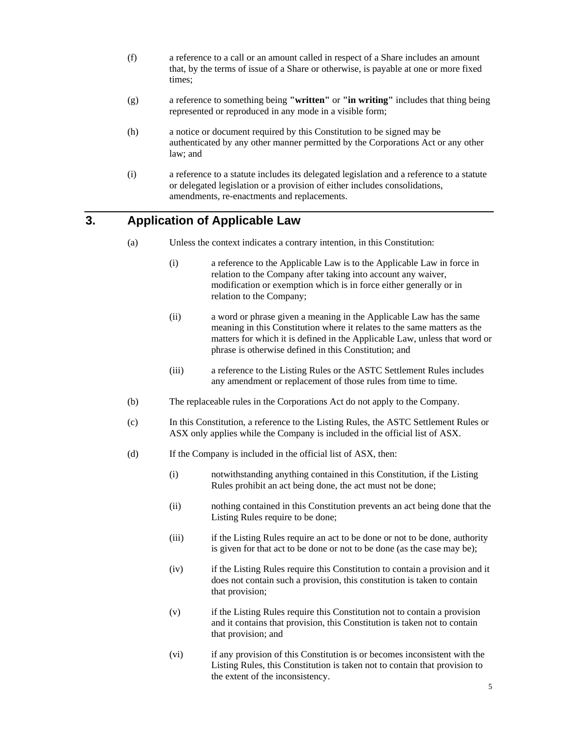- (f) a reference to a call or an amount called in respect of a Share includes an amount that, by the terms of issue of a Share or otherwise, is payable at one or more fixed times;
- (g) a reference to something being **"written"** or **"in writing"** includes that thing being represented or reproduced in any mode in a visible form;
- (h) a notice or document required by this Constitution to be signed may be authenticated by any other manner permitted by the Corporations Act or any other law; and
- (i) a reference to a statute includes its delegated legislation and a reference to a statute or delegated legislation or a provision of either includes consolidations, amendments, re-enactments and replacements.

# **3. Application of Applicable Law**

- (a) Unless the context indicates a contrary intention, in this Constitution:
	- (i) a reference to the Applicable Law is to the Applicable Law in force in relation to the Company after taking into account any waiver, modification or exemption which is in force either generally or in relation to the Company;
	- (ii) a word or phrase given a meaning in the Applicable Law has the same meaning in this Constitution where it relates to the same matters as the matters for which it is defined in the Applicable Law, unless that word or phrase is otherwise defined in this Constitution; and
	- (iii) a reference to the Listing Rules or the ASTC Settlement Rules includes any amendment or replacement of those rules from time to time.
- (b) The replaceable rules in the Corporations Act do not apply to the Company.
- (c) In this Constitution, a reference to the Listing Rules, the ASTC Settlement Rules or ASX only applies while the Company is included in the official list of ASX.
- (d) If the Company is included in the official list of ASX, then:
	- (i) notwithstanding anything contained in this Constitution, if the Listing Rules prohibit an act being done, the act must not be done;
	- (ii) nothing contained in this Constitution prevents an act being done that the Listing Rules require to be done;
	- (iii) if the Listing Rules require an act to be done or not to be done, authority is given for that act to be done or not to be done (as the case may be);
	- (iv) if the Listing Rules require this Constitution to contain a provision and it does not contain such a provision, this constitution is taken to contain that provision;
	- (v) if the Listing Rules require this Constitution not to contain a provision and it contains that provision, this Constitution is taken not to contain that provision; and
	- (vi) if any provision of this Constitution is or becomes inconsistent with the Listing Rules, this Constitution is taken not to contain that provision to the extent of the inconsistency.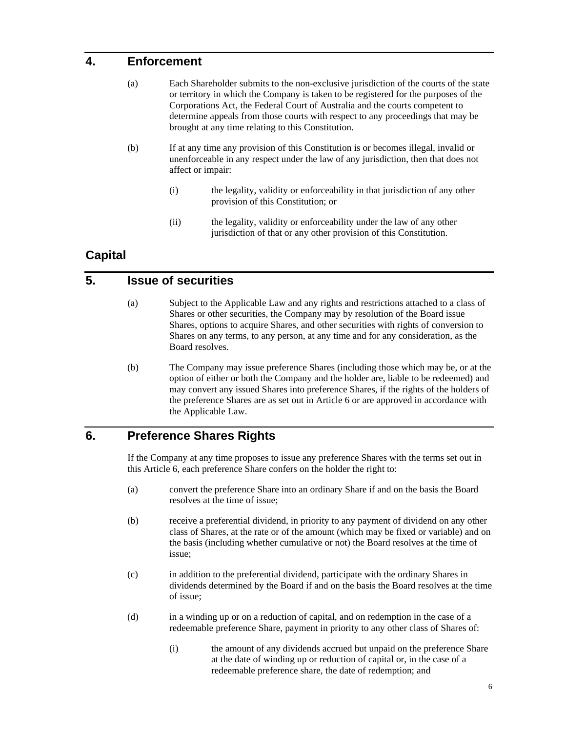# **4. Enforcement**

- (a) Each Shareholder submits to the non-exclusive jurisdiction of the courts of the state or territory in which the Company is taken to be registered for the purposes of the Corporations Act, the Federal Court of Australia and the courts competent to determine appeals from those courts with respect to any proceedings that may be brought at any time relating to this Constitution.
- (b) If at any time any provision of this Constitution is or becomes illegal, invalid or unenforceable in any respect under the law of any jurisdiction, then that does not affect or impair:
	- (i) the legality, validity or enforceability in that jurisdiction of any other provision of this Constitution; or
	- (ii) the legality, validity or enforceability under the law of any other jurisdiction of that or any other provision of this Constitution.

# **Capital**

#### **5. Issue of securities**

- (a) Subject to the Applicable Law and any rights and restrictions attached to a class of Shares or other securities, the Company may by resolution of the Board issue Shares, options to acquire Shares, and other securities with rights of conversion to Shares on any terms, to any person, at any time and for any consideration, as the Board resolves.
- (b) The Company may issue preference Shares (including those which may be, or at the option of either or both the Company and the holder are, liable to be redeemed) and may convert any issued Shares into preference Shares, if the rights of the holders of the preference Shares are as set out in Article 6 or are approved in accordance with the Applicable Law.

# **6. Preference Shares Rights**

If the Company at any time proposes to issue any preference Shares with the terms set out in this Article 6, each preference Share confers on the holder the right to:

- (a) convert the preference Share into an ordinary Share if and on the basis the Board resolves at the time of issue;
- (b) receive a preferential dividend, in priority to any payment of dividend on any other class of Shares, at the rate or of the amount (which may be fixed or variable) and on the basis (including whether cumulative or not) the Board resolves at the time of issue;
- (c) in addition to the preferential dividend, participate with the ordinary Shares in dividends determined by the Board if and on the basis the Board resolves at the time of issue;
- (d) in a winding up or on a reduction of capital, and on redemption in the case of a redeemable preference Share, payment in priority to any other class of Shares of:
	- (i) the amount of any dividends accrued but unpaid on the preference Share at the date of winding up or reduction of capital or, in the case of a redeemable preference share, the date of redemption; and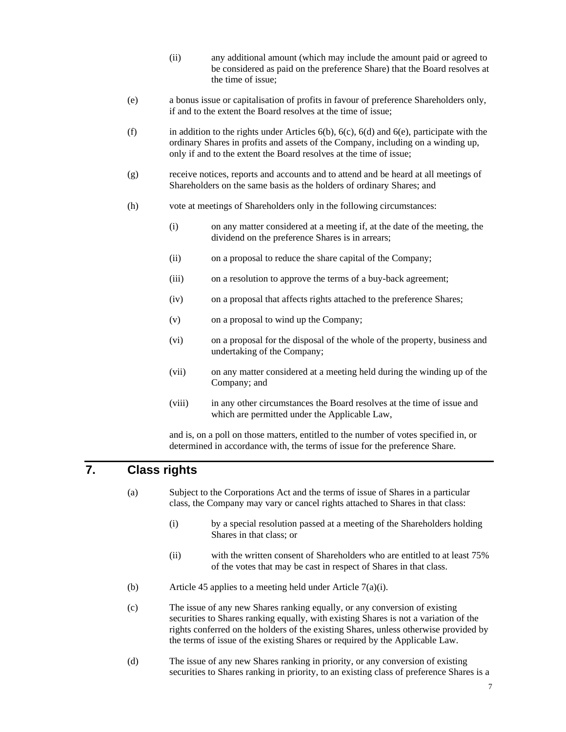- (ii) any additional amount (which may include the amount paid or agreed to be considered as paid on the preference Share) that the Board resolves at the time of issue;
- (e) a bonus issue or capitalisation of profits in favour of preference Shareholders only, if and to the extent the Board resolves at the time of issue;
- (f) in addition to the rights under Articles  $6(b)$ ,  $6(c)$ ,  $6(d)$  and  $6(e)$ , participate with the ordinary Shares in profits and assets of the Company, including on a winding up, only if and to the extent the Board resolves at the time of issue;
- (g) receive notices, reports and accounts and to attend and be heard at all meetings of Shareholders on the same basis as the holders of ordinary Shares; and
- (h) vote at meetings of Shareholders only in the following circumstances:
	- (i) on any matter considered at a meeting if, at the date of the meeting, the dividend on the preference Shares is in arrears;
	- (ii) on a proposal to reduce the share capital of the Company;
	- (iii) on a resolution to approve the terms of a buy-back agreement;
	- (iv) on a proposal that affects rights attached to the preference Shares;
	- (v) on a proposal to wind up the Company;
	- (vi) on a proposal for the disposal of the whole of the property, business and undertaking of the Company;
	- (vii) on any matter considered at a meeting held during the winding up of the Company; and
	- (viii) in any other circumstances the Board resolves at the time of issue and which are permitted under the Applicable Law,

and is, on a poll on those matters, entitled to the number of votes specified in, or determined in accordance with, the terms of issue for the preference Share.

# **7. Class rights**

- (a) Subject to the Corporations Act and the terms of issue of Shares in a particular class, the Company may vary or cancel rights attached to Shares in that class:
	- (i) by a special resolution passed at a meeting of the Shareholders holding Shares in that class; or
	- (ii) with the written consent of Shareholders who are entitled to at least 75% of the votes that may be cast in respect of Shares in that class.
- (b) Article 45 applies to a meeting held under Article 7(a)(i).
- (c) The issue of any new Shares ranking equally, or any conversion of existing securities to Shares ranking equally, with existing Shares is not a variation of the rights conferred on the holders of the existing Shares, unless otherwise provided by the terms of issue of the existing Shares or required by the Applicable Law.
- (d) The issue of any new Shares ranking in priority, or any conversion of existing securities to Shares ranking in priority, to an existing class of preference Shares is a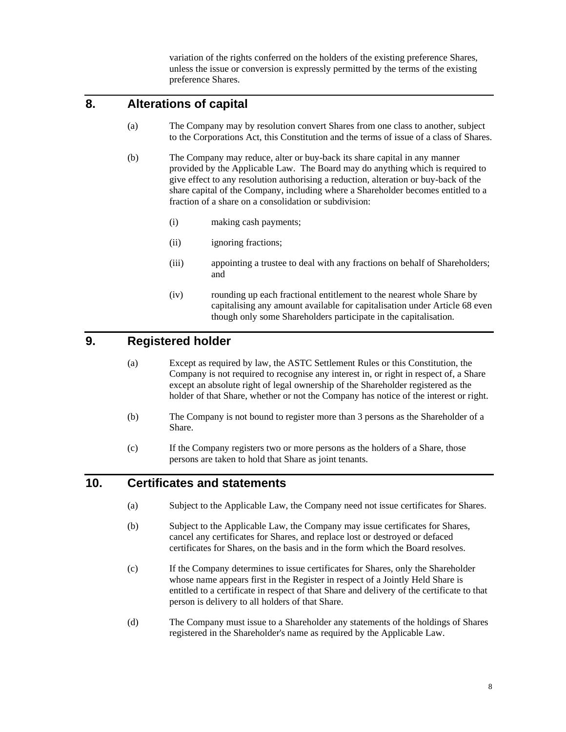variation of the rights conferred on the holders of the existing preference Shares, unless the issue or conversion is expressly permitted by the terms of the existing preference Shares.

# **8. Alterations of capital**

- (a) The Company may by resolution convert Shares from one class to another, subject to the Corporations Act, this Constitution and the terms of issue of a class of Shares.
- (b) The Company may reduce, alter or buy-back its share capital in any manner provided by the Applicable Law. The Board may do anything which is required to give effect to any resolution authorising a reduction, alteration or buy-back of the share capital of the Company, including where a Shareholder becomes entitled to a fraction of a share on a consolidation or subdivision:
	- (i) making cash payments;
	- (ii) ignoring fractions;
	- (iii) appointing a trustee to deal with any fractions on behalf of Shareholders; and
	- (iv) rounding up each fractional entitlement to the nearest whole Share by capitalising any amount available for capitalisation under Article 68 even though only some Shareholders participate in the capitalisation.

#### **9. Registered holder**

- (a) Except as required by law, the ASTC Settlement Rules or this Constitution, the Company is not required to recognise any interest in, or right in respect of, a Share except an absolute right of legal ownership of the Shareholder registered as the holder of that Share, whether or not the Company has notice of the interest or right.
- (b) The Company is not bound to register more than 3 persons as the Shareholder of a Share.
- (c) If the Company registers two or more persons as the holders of a Share, those persons are taken to hold that Share as joint tenants.

#### **10. Certificates and statements**

- (a) Subject to the Applicable Law, the Company need not issue certificates for Shares.
- (b) Subject to the Applicable Law, the Company may issue certificates for Shares, cancel any certificates for Shares, and replace lost or destroyed or defaced certificates for Shares, on the basis and in the form which the Board resolves.
- (c) If the Company determines to issue certificates for Shares, only the Shareholder whose name appears first in the Register in respect of a Jointly Held Share is entitled to a certificate in respect of that Share and delivery of the certificate to that person is delivery to all holders of that Share.
- (d) The Company must issue to a Shareholder any statements of the holdings of Shares registered in the Shareholder's name as required by the Applicable Law.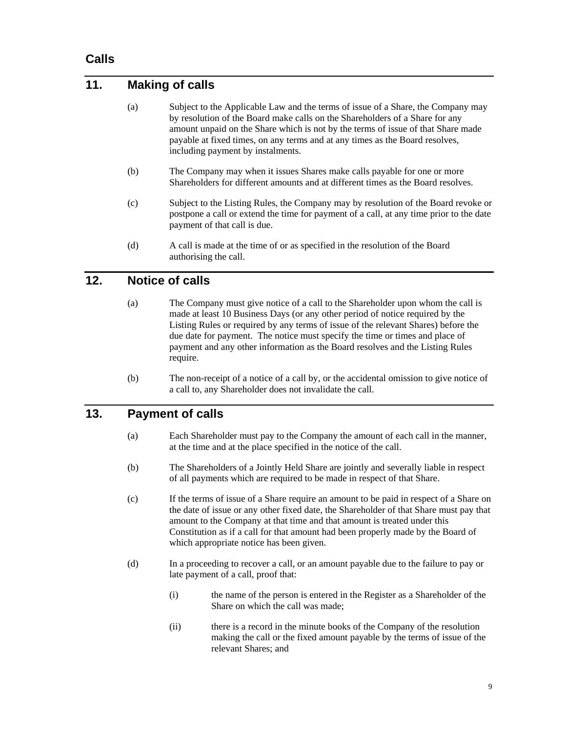#### **Calls**

# **11. Making of calls**

- (a) Subject to the Applicable Law and the terms of issue of a Share, the Company may by resolution of the Board make calls on the Shareholders of a Share for any amount unpaid on the Share which is not by the terms of issue of that Share made payable at fixed times, on any terms and at any times as the Board resolves, including payment by instalments.
- (b) The Company may when it issues Shares make calls payable for one or more Shareholders for different amounts and at different times as the Board resolves.
- (c) Subject to the Listing Rules, the Company may by resolution of the Board revoke or postpone a call or extend the time for payment of a call, at any time prior to the date payment of that call is due.
- (d) A call is made at the time of or as specified in the resolution of the Board authorising the call.

# **12. Notice of calls**

- (a) The Company must give notice of a call to the Shareholder upon whom the call is made at least 10 Business Days (or any other period of notice required by the Listing Rules or required by any terms of issue of the relevant Shares) before the due date for payment. The notice must specify the time or times and place of payment and any other information as the Board resolves and the Listing Rules require.
- (b) The non-receipt of a notice of a call by, or the accidental omission to give notice of a call to, any Shareholder does not invalidate the call.

## **13. Payment of calls**

- (a) Each Shareholder must pay to the Company the amount of each call in the manner, at the time and at the place specified in the notice of the call.
- (b) The Shareholders of a Jointly Held Share are jointly and severally liable in respect of all payments which are required to be made in respect of that Share.
- (c) If the terms of issue of a Share require an amount to be paid in respect of a Share on the date of issue or any other fixed date, the Shareholder of that Share must pay that amount to the Company at that time and that amount is treated under this Constitution as if a call for that amount had been properly made by the Board of which appropriate notice has been given.
- (d) In a proceeding to recover a call, or an amount payable due to the failure to pay or late payment of a call, proof that:
	- (i) the name of the person is entered in the Register as a Shareholder of the Share on which the call was made;
	- (ii) there is a record in the minute books of the Company of the resolution making the call or the fixed amount payable by the terms of issue of the relevant Shares; and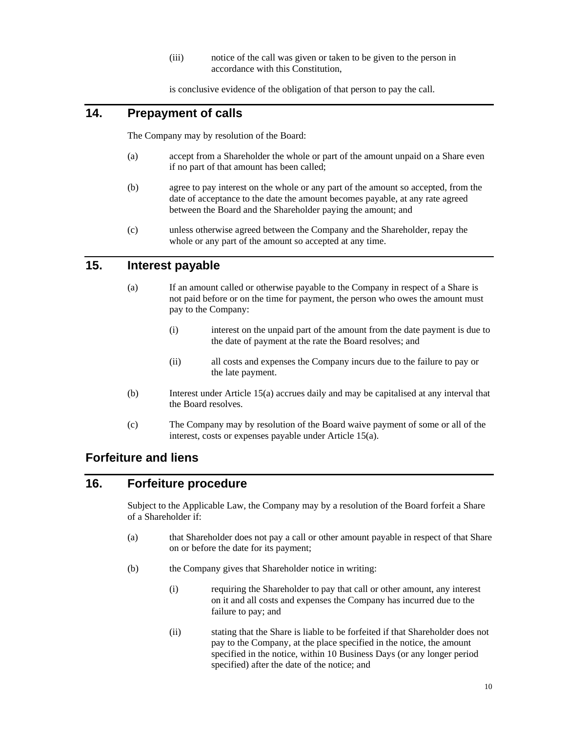(iii) notice of the call was given or taken to be given to the person in accordance with this Constitution,

is conclusive evidence of the obligation of that person to pay the call.

# **14. Prepayment of calls**

The Company may by resolution of the Board:

- (a) accept from a Shareholder the whole or part of the amount unpaid on a Share even if no part of that amount has been called;
- (b) agree to pay interest on the whole or any part of the amount so accepted, from the date of acceptance to the date the amount becomes payable, at any rate agreed between the Board and the Shareholder paying the amount; and
- (c) unless otherwise agreed between the Company and the Shareholder, repay the whole or any part of the amount so accepted at any time.

# **15. Interest payable**

- (a) If an amount called or otherwise payable to the Company in respect of a Share is not paid before or on the time for payment, the person who owes the amount must pay to the Company:
	- (i) interest on the unpaid part of the amount from the date payment is due to the date of payment at the rate the Board resolves; and
	- (ii) all costs and expenses the Company incurs due to the failure to pay or the late payment.
- (b) Interest under Article 15(a) accrues daily and may be capitalised at any interval that the Board resolves.
- (c) The Company may by resolution of the Board waive payment of some or all of the interest, costs or expenses payable under Article 15(a).

#### **Forfeiture and liens**

# **16. Forfeiture procedure**

Subject to the Applicable Law, the Company may by a resolution of the Board forfeit a Share of a Shareholder if:

- (a) that Shareholder does not pay a call or other amount payable in respect of that Share on or before the date for its payment;
- (b) the Company gives that Shareholder notice in writing:
	- (i) requiring the Shareholder to pay that call or other amount, any interest on it and all costs and expenses the Company has incurred due to the failure to pay; and
	- (ii) stating that the Share is liable to be forfeited if that Shareholder does not pay to the Company, at the place specified in the notice, the amount specified in the notice, within 10 Business Days (or any longer period specified) after the date of the notice; and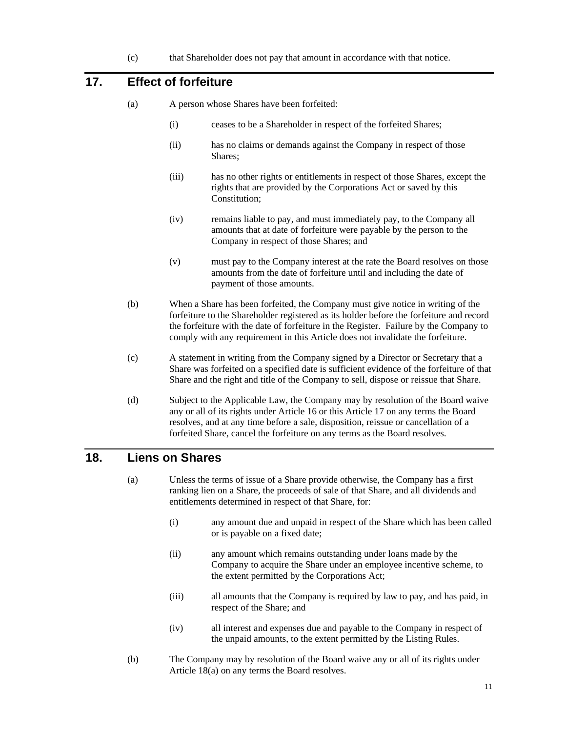(c) that Shareholder does not pay that amount in accordance with that notice.

# **17. Effect of forfeiture**

- (a) A person whose Shares have been forfeited:
	- (i) ceases to be a Shareholder in respect of the forfeited Shares;
	- (ii) has no claims or demands against the Company in respect of those Shares;
	- (iii) has no other rights or entitlements in respect of those Shares, except the rights that are provided by the Corporations Act or saved by this Constitution:
	- (iv) remains liable to pay, and must immediately pay, to the Company all amounts that at date of forfeiture were payable by the person to the Company in respect of those Shares; and
	- (v) must pay to the Company interest at the rate the Board resolves on those amounts from the date of forfeiture until and including the date of payment of those amounts.
- (b) When a Share has been forfeited, the Company must give notice in writing of the forfeiture to the Shareholder registered as its holder before the forfeiture and record the forfeiture with the date of forfeiture in the Register. Failure by the Company to comply with any requirement in this Article does not invalidate the forfeiture.
- (c) A statement in writing from the Company signed by a Director or Secretary that a Share was forfeited on a specified date is sufficient evidence of the forfeiture of that Share and the right and title of the Company to sell, dispose or reissue that Share.
- (d) Subject to the Applicable Law, the Company may by resolution of the Board waive any or all of its rights under Article 16 or this Article 17 on any terms the Board resolves, and at any time before a sale, disposition, reissue or cancellation of a forfeited Share, cancel the forfeiture on any terms as the Board resolves.

# **18. Liens on Shares**

- (a) Unless the terms of issue of a Share provide otherwise, the Company has a first ranking lien on a Share, the proceeds of sale of that Share, and all dividends and entitlements determined in respect of that Share, for:
	- (i) any amount due and unpaid in respect of the Share which has been called or is payable on a fixed date;
	- (ii) any amount which remains outstanding under loans made by the Company to acquire the Share under an employee incentive scheme, to the extent permitted by the Corporations Act;
	- (iii) all amounts that the Company is required by law to pay, and has paid, in respect of the Share; and
	- (iv) all interest and expenses due and payable to the Company in respect of the unpaid amounts, to the extent permitted by the Listing Rules.
- (b) The Company may by resolution of the Board waive any or all of its rights under Article 18(a) on any terms the Board resolves.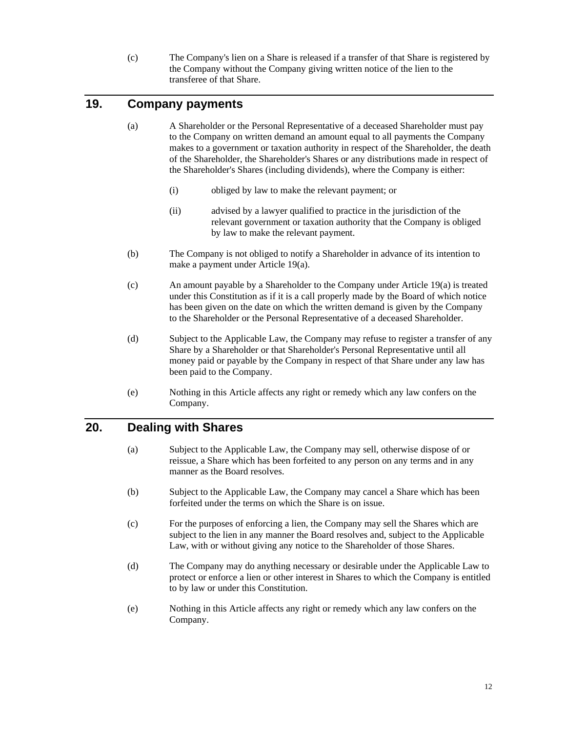(c) The Company's lien on a Share is released if a transfer of that Share is registered by the Company without the Company giving written notice of the lien to the transferee of that Share.

# **19. Company payments**

- (a) A Shareholder or the Personal Representative of a deceased Shareholder must pay to the Company on written demand an amount equal to all payments the Company makes to a government or taxation authority in respect of the Shareholder, the death of the Shareholder, the Shareholder's Shares or any distributions made in respect of the Shareholder's Shares (including dividends), where the Company is either:
	- (i) obliged by law to make the relevant payment; or
	- (ii) advised by a lawyer qualified to practice in the jurisdiction of the relevant government or taxation authority that the Company is obliged by law to make the relevant payment.
- (b) The Company is not obliged to notify a Shareholder in advance of its intention to make a payment under Article 19(a).
- (c) An amount payable by a Shareholder to the Company under Article 19(a) is treated under this Constitution as if it is a call properly made by the Board of which notice has been given on the date on which the written demand is given by the Company to the Shareholder or the Personal Representative of a deceased Shareholder.
- (d) Subject to the Applicable Law, the Company may refuse to register a transfer of any Share by a Shareholder or that Shareholder's Personal Representative until all money paid or payable by the Company in respect of that Share under any law has been paid to the Company.
- (e) Nothing in this Article affects any right or remedy which any law confers on the Company.

# **20. Dealing with Shares**

- (a) Subject to the Applicable Law, the Company may sell, otherwise dispose of or reissue, a Share which has been forfeited to any person on any terms and in any manner as the Board resolves.
- (b) Subject to the Applicable Law, the Company may cancel a Share which has been forfeited under the terms on which the Share is on issue.
- (c) For the purposes of enforcing a lien, the Company may sell the Shares which are subject to the lien in any manner the Board resolves and, subject to the Applicable Law, with or without giving any notice to the Shareholder of those Shares.
- (d) The Company may do anything necessary or desirable under the Applicable Law to protect or enforce a lien or other interest in Shares to which the Company is entitled to by law or under this Constitution.
- (e) Nothing in this Article affects any right or remedy which any law confers on the Company.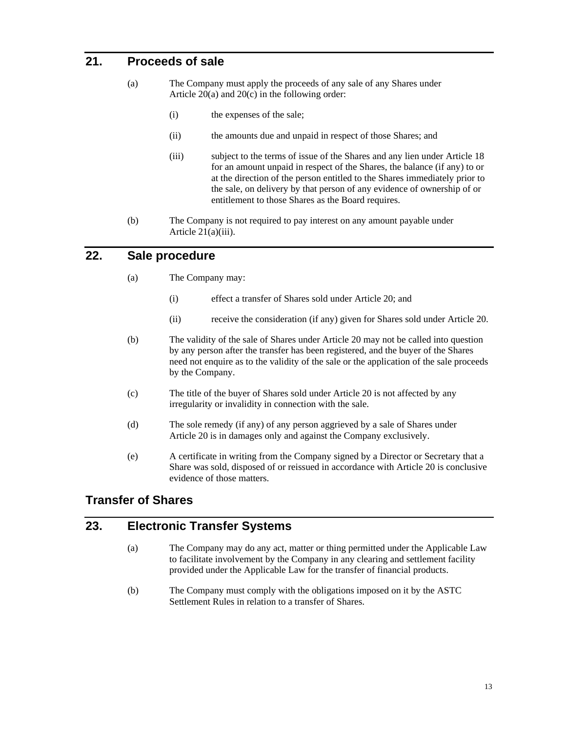# **21. Proceeds of sale**

- (a) The Company must apply the proceeds of any sale of any Shares under Article 20(a) and 20(c) in the following order:
	- (i) the expenses of the sale;
	- (ii) the amounts due and unpaid in respect of those Shares; and
	- (iii) subject to the terms of issue of the Shares and any lien under Article 18 for an amount unpaid in respect of the Shares, the balance (if any) to or at the direction of the person entitled to the Shares immediately prior to the sale, on delivery by that person of any evidence of ownership of or entitlement to those Shares as the Board requires.
- (b) The Company is not required to pay interest on any amount payable under Article 21(a)(iii).

#### **22. Sale procedure**

- (a) The Company may:
	- (i) effect a transfer of Shares sold under Article 20; and
	- (ii) receive the consideration (if any) given for Shares sold under Article 20.
- (b) The validity of the sale of Shares under Article 20 may not be called into question by any person after the transfer has been registered, and the buyer of the Shares need not enquire as to the validity of the sale or the application of the sale proceeds by the Company.
- (c) The title of the buyer of Shares sold under Article 20 is not affected by any irregularity or invalidity in connection with the sale.
- (d) The sole remedy (if any) of any person aggrieved by a sale of Shares under Article 20 is in damages only and against the Company exclusively.
- (e) A certificate in writing from the Company signed by a Director or Secretary that a Share was sold, disposed of or reissued in accordance with Article 20 is conclusive evidence of those matters.

# **Transfer of Shares**

#### **23. Electronic Transfer Systems**

- (a) The Company may do any act, matter or thing permitted under the Applicable Law to facilitate involvement by the Company in any clearing and settlement facility provided under the Applicable Law for the transfer of financial products.
- (b) The Company must comply with the obligations imposed on it by the ASTC Settlement Rules in relation to a transfer of Shares.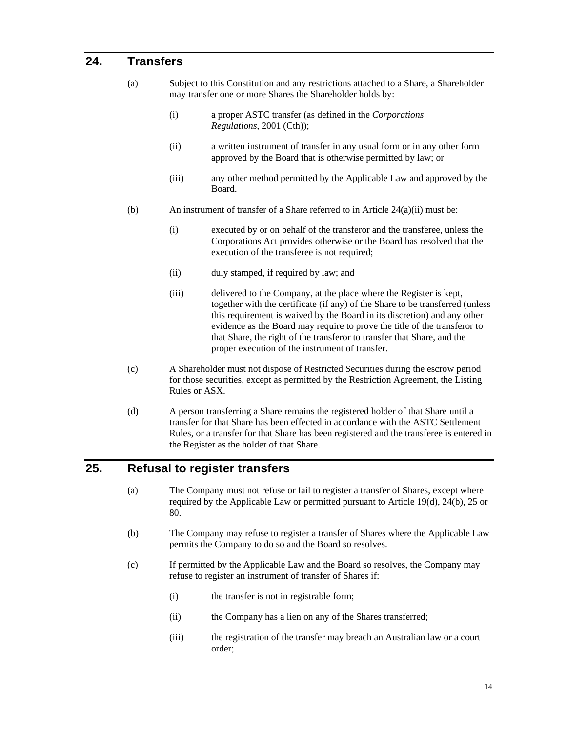#### **24. Transfers**

- (a) Subject to this Constitution and any restrictions attached to a Share, a Shareholder may transfer one or more Shares the Shareholder holds by:
	- (i) a proper ASTC transfer (as defined in the *Corporations Regulations*, 2001 (Cth));
	- (ii) a written instrument of transfer in any usual form or in any other form approved by the Board that is otherwise permitted by law; or
	- (iii) any other method permitted by the Applicable Law and approved by the Board.
- (b) An instrument of transfer of a Share referred to in Article  $24(a)(ii)$  must be:
	- (i) executed by or on behalf of the transferor and the transferee, unless the Corporations Act provides otherwise or the Board has resolved that the execution of the transferee is not required;
	- (ii) duly stamped, if required by law; and
	- (iii) delivered to the Company, at the place where the Register is kept, together with the certificate (if any) of the Share to be transferred (unless this requirement is waived by the Board in its discretion) and any other evidence as the Board may require to prove the title of the transferor to that Share, the right of the transferor to transfer that Share, and the proper execution of the instrument of transfer.
- (c) A Shareholder must not dispose of Restricted Securities during the escrow period for those securities, except as permitted by the Restriction Agreement, the Listing Rules or ASX.
- (d) A person transferring a Share remains the registered holder of that Share until a transfer for that Share has been effected in accordance with the ASTC Settlement Rules, or a transfer for that Share has been registered and the transferee is entered in the Register as the holder of that Share.

# **25. Refusal to register transfers**

- (a) The Company must not refuse or fail to register a transfer of Shares, except where required by the Applicable Law or permitted pursuant to Article 19(d), 24(b), 25 or 80.
- (b) The Company may refuse to register a transfer of Shares where the Applicable Law permits the Company to do so and the Board so resolves.
- (c) If permitted by the Applicable Law and the Board so resolves, the Company may refuse to register an instrument of transfer of Shares if:
	- (i) the transfer is not in registrable form;
	- (ii) the Company has a lien on any of the Shares transferred;
	- (iii) the registration of the transfer may breach an Australian law or a court order;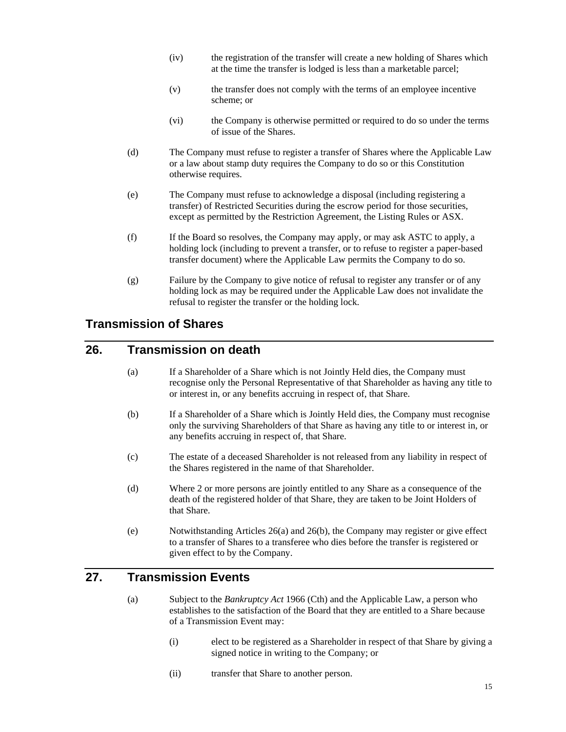- (iv) the registration of the transfer will create a new holding of Shares which at the time the transfer is lodged is less than a marketable parcel;
- (v) the transfer does not comply with the terms of an employee incentive scheme; or
- (vi) the Company is otherwise permitted or required to do so under the terms of issue of the Shares.
- (d) The Company must refuse to register a transfer of Shares where the Applicable Law or a law about stamp duty requires the Company to do so or this Constitution otherwise requires.
- (e) The Company must refuse to acknowledge a disposal (including registering a transfer) of Restricted Securities during the escrow period for those securities, except as permitted by the Restriction Agreement, the Listing Rules or ASX.
- (f) If the Board so resolves, the Company may apply, or may ask ASTC to apply, a holding lock (including to prevent a transfer, or to refuse to register a paper-based transfer document) where the Applicable Law permits the Company to do so.
- (g) Failure by the Company to give notice of refusal to register any transfer or of any holding lock as may be required under the Applicable Law does not invalidate the refusal to register the transfer or the holding lock.

# **Transmission of Shares**

#### **26. Transmission on death**

- (a) If a Shareholder of a Share which is not Jointly Held dies, the Company must recognise only the Personal Representative of that Shareholder as having any title to or interest in, or any benefits accruing in respect of, that Share.
- (b) If a Shareholder of a Share which is Jointly Held dies, the Company must recognise only the surviving Shareholders of that Share as having any title to or interest in, or any benefits accruing in respect of, that Share.
- (c) The estate of a deceased Shareholder is not released from any liability in respect of the Shares registered in the name of that Shareholder.
- (d) Where 2 or more persons are jointly entitled to any Share as a consequence of the death of the registered holder of that Share, they are taken to be Joint Holders of that Share.
- (e) Notwithstanding Articles 26(a) and 26(b), the Company may register or give effect to a transfer of Shares to a transferee who dies before the transfer is registered or given effect to by the Company.

#### **27. Transmission Events**

- (a) Subject to the *Bankruptcy Act* 1966 (Cth) and the Applicable Law, a person who establishes to the satisfaction of the Board that they are entitled to a Share because of a Transmission Event may:
	- (i) elect to be registered as a Shareholder in respect of that Share by giving a signed notice in writing to the Company; or
	- (ii) transfer that Share to another person.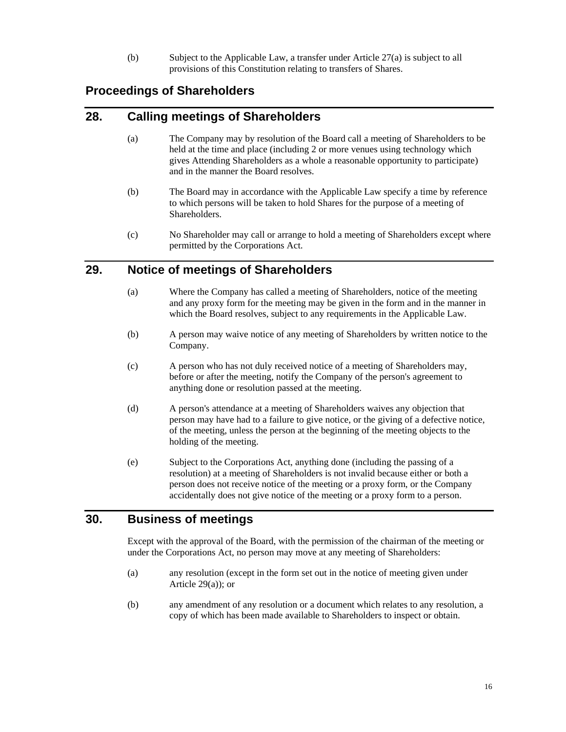(b) Subject to the Applicable Law, a transfer under Article 27(a) is subject to all provisions of this Constitution relating to transfers of Shares.

# **Proceedings of Shareholders**

#### **28. Calling meetings of Shareholders**

- (a) The Company may by resolution of the Board call a meeting of Shareholders to be held at the time and place (including 2 or more venues using technology which gives Attending Shareholders as a whole a reasonable opportunity to participate) and in the manner the Board resolves.
- (b) The Board may in accordance with the Applicable Law specify a time by reference to which persons will be taken to hold Shares for the purpose of a meeting of Shareholders.
- (c) No Shareholder may call or arrange to hold a meeting of Shareholders except where permitted by the Corporations Act.

#### **29. Notice of meetings of Shareholders**

- (a) Where the Company has called a meeting of Shareholders, notice of the meeting and any proxy form for the meeting may be given in the form and in the manner in which the Board resolves, subject to any requirements in the Applicable Law.
- (b) A person may waive notice of any meeting of Shareholders by written notice to the Company.
- (c) A person who has not duly received notice of a meeting of Shareholders may, before or after the meeting, notify the Company of the person's agreement to anything done or resolution passed at the meeting.
- (d) A person's attendance at a meeting of Shareholders waives any objection that person may have had to a failure to give notice, or the giving of a defective notice, of the meeting, unless the person at the beginning of the meeting objects to the holding of the meeting.
- (e) Subject to the Corporations Act, anything done (including the passing of a resolution) at a meeting of Shareholders is not invalid because either or both a person does not receive notice of the meeting or a proxy form, or the Company accidentally does not give notice of the meeting or a proxy form to a person.

# **30. Business of meetings**

Except with the approval of the Board, with the permission of the chairman of the meeting or under the Corporations Act, no person may move at any meeting of Shareholders:

- (a) any resolution (except in the form set out in the notice of meeting given under Article 29(a)); or
- (b) any amendment of any resolution or a document which relates to any resolution, a copy of which has been made available to Shareholders to inspect or obtain.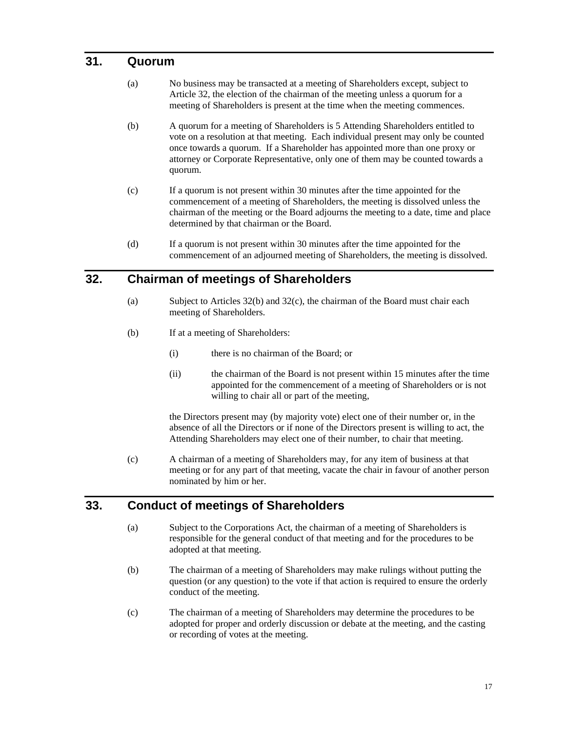#### **31. Quorum**

- (a) No business may be transacted at a meeting of Shareholders except, subject to Article 32, the election of the chairman of the meeting unless a quorum for a meeting of Shareholders is present at the time when the meeting commences.
- (b) A quorum for a meeting of Shareholders is 5 Attending Shareholders entitled to vote on a resolution at that meeting. Each individual present may only be counted once towards a quorum. If a Shareholder has appointed more than one proxy or attorney or Corporate Representative, only one of them may be counted towards a quorum.
- (c) If a quorum is not present within 30 minutes after the time appointed for the commencement of a meeting of Shareholders, the meeting is dissolved unless the chairman of the meeting or the Board adjourns the meeting to a date, time and place determined by that chairman or the Board.
- (d) If a quorum is not present within 30 minutes after the time appointed for the commencement of an adjourned meeting of Shareholders, the meeting is dissolved.

# **32. Chairman of meetings of Shareholders**

- (a) Subject to Articles 32(b) and 32(c), the chairman of the Board must chair each meeting of Shareholders.
- (b) If at a meeting of Shareholders:
	- (i) there is no chairman of the Board; or
	- (ii) the chairman of the Board is not present within 15 minutes after the time appointed for the commencement of a meeting of Shareholders or is not willing to chair all or part of the meeting,

the Directors present may (by majority vote) elect one of their number or, in the absence of all the Directors or if none of the Directors present is willing to act, the Attending Shareholders may elect one of their number, to chair that meeting.

(c) A chairman of a meeting of Shareholders may, for any item of business at that meeting or for any part of that meeting, vacate the chair in favour of another person nominated by him or her.

#### **33. Conduct of meetings of Shareholders**

- (a) Subject to the Corporations Act, the chairman of a meeting of Shareholders is responsible for the general conduct of that meeting and for the procedures to be adopted at that meeting.
- (b) The chairman of a meeting of Shareholders may make rulings without putting the question (or any question) to the vote if that action is required to ensure the orderly conduct of the meeting.
- (c) The chairman of a meeting of Shareholders may determine the procedures to be adopted for proper and orderly discussion or debate at the meeting, and the casting or recording of votes at the meeting.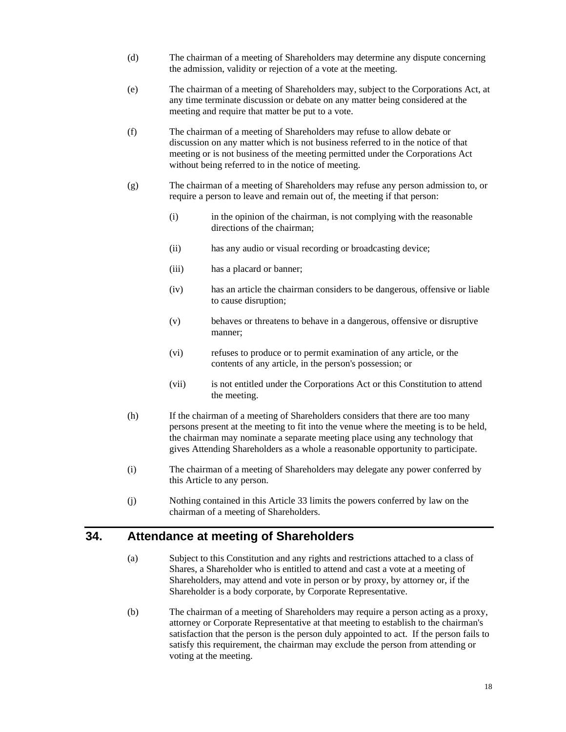- (d) The chairman of a meeting of Shareholders may determine any dispute concerning the admission, validity or rejection of a vote at the meeting.
- (e) The chairman of a meeting of Shareholders may, subject to the Corporations Act, at any time terminate discussion or debate on any matter being considered at the meeting and require that matter be put to a vote.
- (f) The chairman of a meeting of Shareholders may refuse to allow debate or discussion on any matter which is not business referred to in the notice of that meeting or is not business of the meeting permitted under the Corporations Act without being referred to in the notice of meeting.
- (g) The chairman of a meeting of Shareholders may refuse any person admission to, or require a person to leave and remain out of, the meeting if that person:
	- (i) in the opinion of the chairman, is not complying with the reasonable directions of the chairman;
	- (ii) has any audio or visual recording or broadcasting device;
	- (iii) has a placard or banner;
	- (iv) has an article the chairman considers to be dangerous, offensive or liable to cause disruption;
	- (v) behaves or threatens to behave in a dangerous, offensive or disruptive manner;
	- (vi) refuses to produce or to permit examination of any article, or the contents of any article, in the person's possession; or
	- (vii) is not entitled under the Corporations Act or this Constitution to attend the meeting.
- (h) If the chairman of a meeting of Shareholders considers that there are too many persons present at the meeting to fit into the venue where the meeting is to be held, the chairman may nominate a separate meeting place using any technology that gives Attending Shareholders as a whole a reasonable opportunity to participate.
- (i) The chairman of a meeting of Shareholders may delegate any power conferred by this Article to any person.
- (j) Nothing contained in this Article 33 limits the powers conferred by law on the chairman of a meeting of Shareholders.

#### **34. Attendance at meeting of Shareholders**

- (a) Subject to this Constitution and any rights and restrictions attached to a class of Shares, a Shareholder who is entitled to attend and cast a vote at a meeting of Shareholders, may attend and vote in person or by proxy, by attorney or, if the Shareholder is a body corporate, by Corporate Representative.
- (b) The chairman of a meeting of Shareholders may require a person acting as a proxy, attorney or Corporate Representative at that meeting to establish to the chairman's satisfaction that the person is the person duly appointed to act. If the person fails to satisfy this requirement, the chairman may exclude the person from attending or voting at the meeting.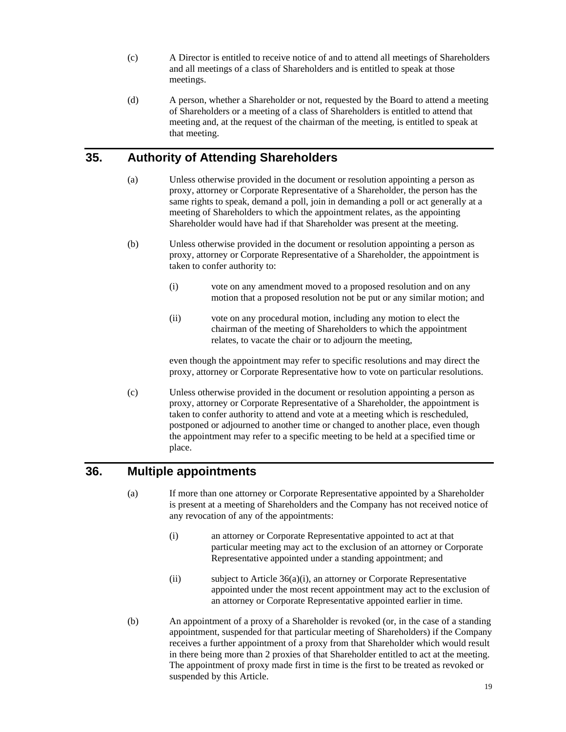- (c) A Director is entitled to receive notice of and to attend all meetings of Shareholders and all meetings of a class of Shareholders and is entitled to speak at those meetings.
- (d) A person, whether a Shareholder or not, requested by the Board to attend a meeting of Shareholders or a meeting of a class of Shareholders is entitled to attend that meeting and, at the request of the chairman of the meeting, is entitled to speak at that meeting.

# **35. Authority of Attending Shareholders**

- (a) Unless otherwise provided in the document or resolution appointing a person as proxy, attorney or Corporate Representative of a Shareholder, the person has the same rights to speak, demand a poll, join in demanding a poll or act generally at a meeting of Shareholders to which the appointment relates, as the appointing Shareholder would have had if that Shareholder was present at the meeting.
- (b) Unless otherwise provided in the document or resolution appointing a person as proxy, attorney or Corporate Representative of a Shareholder, the appointment is taken to confer authority to:
	- (i) vote on any amendment moved to a proposed resolution and on any motion that a proposed resolution not be put or any similar motion; and
	- (ii) vote on any procedural motion, including any motion to elect the chairman of the meeting of Shareholders to which the appointment relates, to vacate the chair or to adjourn the meeting,

even though the appointment may refer to specific resolutions and may direct the proxy, attorney or Corporate Representative how to vote on particular resolutions.

(c) Unless otherwise provided in the document or resolution appointing a person as proxy, attorney or Corporate Representative of a Shareholder, the appointment is taken to confer authority to attend and vote at a meeting which is rescheduled, postponed or adjourned to another time or changed to another place, even though the appointment may refer to a specific meeting to be held at a specified time or place.

# **36. Multiple appointments**

- (a) If more than one attorney or Corporate Representative appointed by a Shareholder is present at a meeting of Shareholders and the Company has not received notice of any revocation of any of the appointments:
	- (i) an attorney or Corporate Representative appointed to act at that particular meeting may act to the exclusion of an attorney or Corporate Representative appointed under a standing appointment; and
	- (ii) subject to Article 36(a)(i), an attorney or Corporate Representative appointed under the most recent appointment may act to the exclusion of an attorney or Corporate Representative appointed earlier in time.
- (b) An appointment of a proxy of a Shareholder is revoked (or, in the case of a standing appointment, suspended for that particular meeting of Shareholders) if the Company receives a further appointment of a proxy from that Shareholder which would result in there being more than 2 proxies of that Shareholder entitled to act at the meeting. The appointment of proxy made first in time is the first to be treated as revoked or suspended by this Article.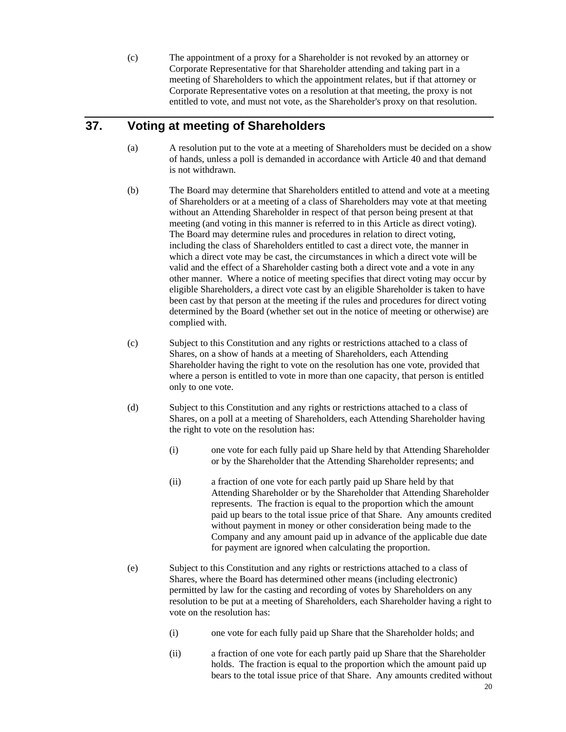(c) The appointment of a proxy for a Shareholder is not revoked by an attorney or Corporate Representative for that Shareholder attending and taking part in a meeting of Shareholders to which the appointment relates, but if that attorney or Corporate Representative votes on a resolution at that meeting, the proxy is not entitled to vote, and must not vote, as the Shareholder's proxy on that resolution.

# **37. Voting at meeting of Shareholders**

- (a) A resolution put to the vote at a meeting of Shareholders must be decided on a show of hands, unless a poll is demanded in accordance with Article 40 and that demand is not withdrawn.
- (b) The Board may determine that Shareholders entitled to attend and vote at a meeting of Shareholders or at a meeting of a class of Shareholders may vote at that meeting without an Attending Shareholder in respect of that person being present at that meeting (and voting in this manner is referred to in this Article as direct voting). The Board may determine rules and procedures in relation to direct voting, including the class of Shareholders entitled to cast a direct vote, the manner in which a direct vote may be cast, the circumstances in which a direct vote will be valid and the effect of a Shareholder casting both a direct vote and a vote in any other manner. Where a notice of meeting specifies that direct voting may occur by eligible Shareholders, a direct vote cast by an eligible Shareholder is taken to have been cast by that person at the meeting if the rules and procedures for direct voting determined by the Board (whether set out in the notice of meeting or otherwise) are complied with.
- (c) Subject to this Constitution and any rights or restrictions attached to a class of Shares, on a show of hands at a meeting of Shareholders, each Attending Shareholder having the right to vote on the resolution has one vote, provided that where a person is entitled to vote in more than one capacity, that person is entitled only to one vote.
- (d) Subject to this Constitution and any rights or restrictions attached to a class of Shares, on a poll at a meeting of Shareholders, each Attending Shareholder having the right to vote on the resolution has:
	- (i) one vote for each fully paid up Share held by that Attending Shareholder or by the Shareholder that the Attending Shareholder represents; and
	- (ii) a fraction of one vote for each partly paid up Share held by that Attending Shareholder or by the Shareholder that Attending Shareholder represents. The fraction is equal to the proportion which the amount paid up bears to the total issue price of that Share. Any amounts credited without payment in money or other consideration being made to the Company and any amount paid up in advance of the applicable due date for payment are ignored when calculating the proportion.
- (e) Subject to this Constitution and any rights or restrictions attached to a class of Shares, where the Board has determined other means (including electronic) permitted by law for the casting and recording of votes by Shareholders on any resolution to be put at a meeting of Shareholders, each Shareholder having a right to vote on the resolution has:
	- (i) one vote for each fully paid up Share that the Shareholder holds; and
	- (ii) a fraction of one vote for each partly paid up Share that the Shareholder holds. The fraction is equal to the proportion which the amount paid up bears to the total issue price of that Share. Any amounts credited without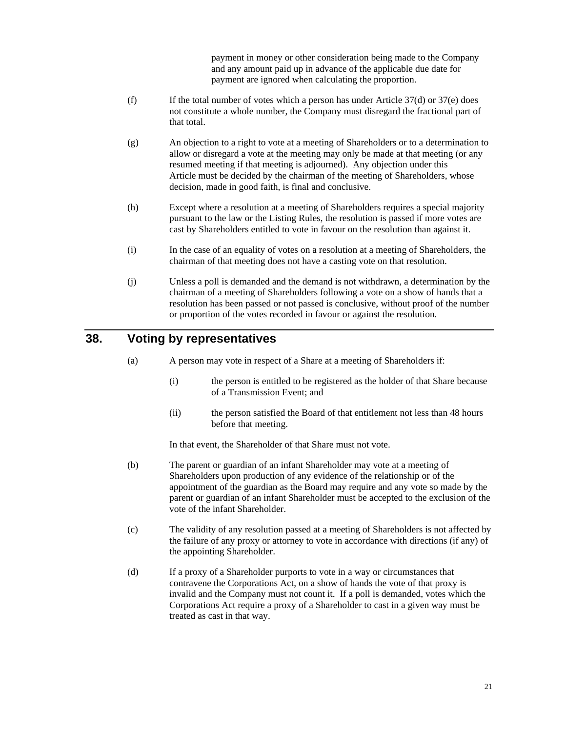payment in money or other consideration being made to the Company and any amount paid up in advance of the applicable due date for payment are ignored when calculating the proportion.

- (f) If the total number of votes which a person has under Article  $37(d)$  or  $37(e)$  does not constitute a whole number, the Company must disregard the fractional part of that total.
- (g) An objection to a right to vote at a meeting of Shareholders or to a determination to allow or disregard a vote at the meeting may only be made at that meeting (or any resumed meeting if that meeting is adjourned). Any objection under this Article must be decided by the chairman of the meeting of Shareholders, whose decision, made in good faith, is final and conclusive.
- (h) Except where a resolution at a meeting of Shareholders requires a special majority pursuant to the law or the Listing Rules, the resolution is passed if more votes are cast by Shareholders entitled to vote in favour on the resolution than against it.
- (i) In the case of an equality of votes on a resolution at a meeting of Shareholders, the chairman of that meeting does not have a casting vote on that resolution.
- (j) Unless a poll is demanded and the demand is not withdrawn, a determination by the chairman of a meeting of Shareholders following a vote on a show of hands that a resolution has been passed or not passed is conclusive, without proof of the number or proportion of the votes recorded in favour or against the resolution.

# **38. Voting by representatives**

- (a) A person may vote in respect of a Share at a meeting of Shareholders if:
	- (i) the person is entitled to be registered as the holder of that Share because of a Transmission Event; and
	- (ii) the person satisfied the Board of that entitlement not less than 48 hours before that meeting.

In that event, the Shareholder of that Share must not vote.

- (b) The parent or guardian of an infant Shareholder may vote at a meeting of Shareholders upon production of any evidence of the relationship or of the appointment of the guardian as the Board may require and any vote so made by the parent or guardian of an infant Shareholder must be accepted to the exclusion of the vote of the infant Shareholder.
- (c) The validity of any resolution passed at a meeting of Shareholders is not affected by the failure of any proxy or attorney to vote in accordance with directions (if any) of the appointing Shareholder.
- (d) If a proxy of a Shareholder purports to vote in a way or circumstances that contravene the Corporations Act, on a show of hands the vote of that proxy is invalid and the Company must not count it. If a poll is demanded, votes which the Corporations Act require a proxy of a Shareholder to cast in a given way must be treated as cast in that way.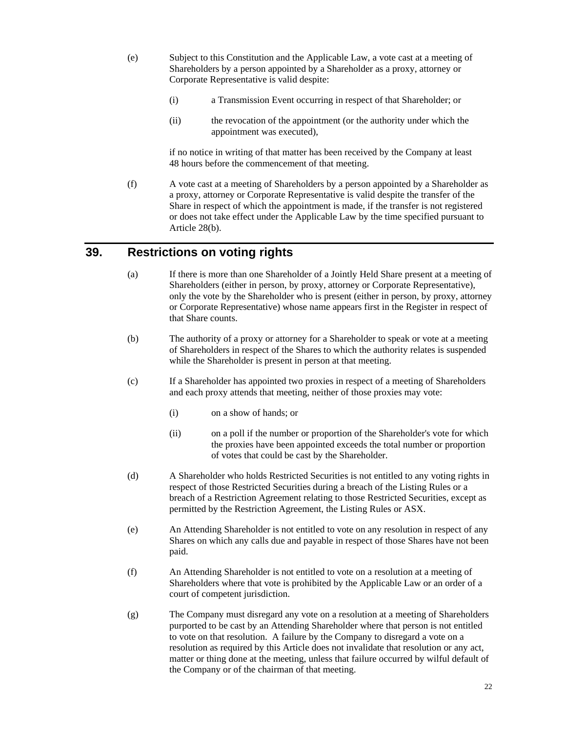- (e) Subject to this Constitution and the Applicable Law, a vote cast at a meeting of Shareholders by a person appointed by a Shareholder as a proxy, attorney or Corporate Representative is valid despite:
	- (i) a Transmission Event occurring in respect of that Shareholder; or
	- (ii) the revocation of the appointment (or the authority under which the appointment was executed),

if no notice in writing of that matter has been received by the Company at least 48 hours before the commencement of that meeting.

(f) A vote cast at a meeting of Shareholders by a person appointed by a Shareholder as a proxy, attorney or Corporate Representative is valid despite the transfer of the Share in respect of which the appointment is made, if the transfer is not registered or does not take effect under the Applicable Law by the time specified pursuant to Article 28(b).

#### **39. Restrictions on voting rights**

- (a) If there is more than one Shareholder of a Jointly Held Share present at a meeting of Shareholders (either in person, by proxy, attorney or Corporate Representative), only the vote by the Shareholder who is present (either in person, by proxy, attorney or Corporate Representative) whose name appears first in the Register in respect of that Share counts.
- (b) The authority of a proxy or attorney for a Shareholder to speak or vote at a meeting of Shareholders in respect of the Shares to which the authority relates is suspended while the Shareholder is present in person at that meeting.
- (c) If a Shareholder has appointed two proxies in respect of a meeting of Shareholders and each proxy attends that meeting, neither of those proxies may vote:
	- (i) on a show of hands; or
	- (ii) on a poll if the number or proportion of the Shareholder's vote for which the proxies have been appointed exceeds the total number or proportion of votes that could be cast by the Shareholder.
- (d) A Shareholder who holds Restricted Securities is not entitled to any voting rights in respect of those Restricted Securities during a breach of the Listing Rules or a breach of a Restriction Agreement relating to those Restricted Securities, except as permitted by the Restriction Agreement, the Listing Rules or ASX.
- (e) An Attending Shareholder is not entitled to vote on any resolution in respect of any Shares on which any calls due and payable in respect of those Shares have not been paid.
- (f) An Attending Shareholder is not entitled to vote on a resolution at a meeting of Shareholders where that vote is prohibited by the Applicable Law or an order of a court of competent jurisdiction.
- (g) The Company must disregard any vote on a resolution at a meeting of Shareholders purported to be cast by an Attending Shareholder where that person is not entitled to vote on that resolution. A failure by the Company to disregard a vote on a resolution as required by this Article does not invalidate that resolution or any act, matter or thing done at the meeting, unless that failure occurred by wilful default of the Company or of the chairman of that meeting.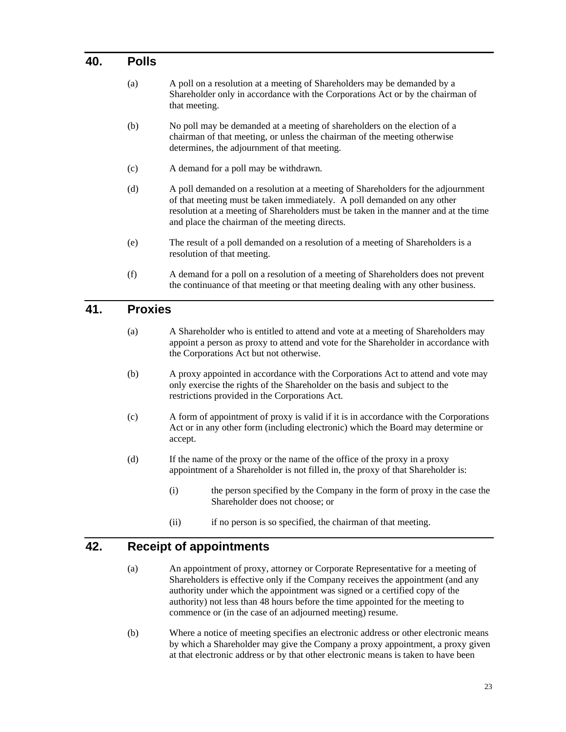#### **40. Polls**

- (a) A poll on a resolution at a meeting of Shareholders may be demanded by a Shareholder only in accordance with the Corporations Act or by the chairman of that meeting.
- (b) No poll may be demanded at a meeting of shareholders on the election of a chairman of that meeting, or unless the chairman of the meeting otherwise determines, the adjournment of that meeting.
- (c) A demand for a poll may be withdrawn.
- (d) A poll demanded on a resolution at a meeting of Shareholders for the adjournment of that meeting must be taken immediately. A poll demanded on any other resolution at a meeting of Shareholders must be taken in the manner and at the time and place the chairman of the meeting directs.
- (e) The result of a poll demanded on a resolution of a meeting of Shareholders is a resolution of that meeting.
- (f) A demand for a poll on a resolution of a meeting of Shareholders does not prevent the continuance of that meeting or that meeting dealing with any other business.

#### **41. Proxies**

- (a) A Shareholder who is entitled to attend and vote at a meeting of Shareholders may appoint a person as proxy to attend and vote for the Shareholder in accordance with the Corporations Act but not otherwise.
- (b) A proxy appointed in accordance with the Corporations Act to attend and vote may only exercise the rights of the Shareholder on the basis and subject to the restrictions provided in the Corporations Act.
- (c) A form of appointment of proxy is valid if it is in accordance with the Corporations Act or in any other form (including electronic) which the Board may determine or accept.
- (d) If the name of the proxy or the name of the office of the proxy in a proxy appointment of a Shareholder is not filled in, the proxy of that Shareholder is:
	- (i) the person specified by the Company in the form of proxy in the case the Shareholder does not choose; or
	- (ii) if no person is so specified, the chairman of that meeting.

# **42. Receipt of appointments**

- (a) An appointment of proxy, attorney or Corporate Representative for a meeting of Shareholders is effective only if the Company receives the appointment (and any authority under which the appointment was signed or a certified copy of the authority) not less than 48 hours before the time appointed for the meeting to commence or (in the case of an adjourned meeting) resume.
- (b) Where a notice of meeting specifies an electronic address or other electronic means by which a Shareholder may give the Company a proxy appointment, a proxy given at that electronic address or by that other electronic means is taken to have been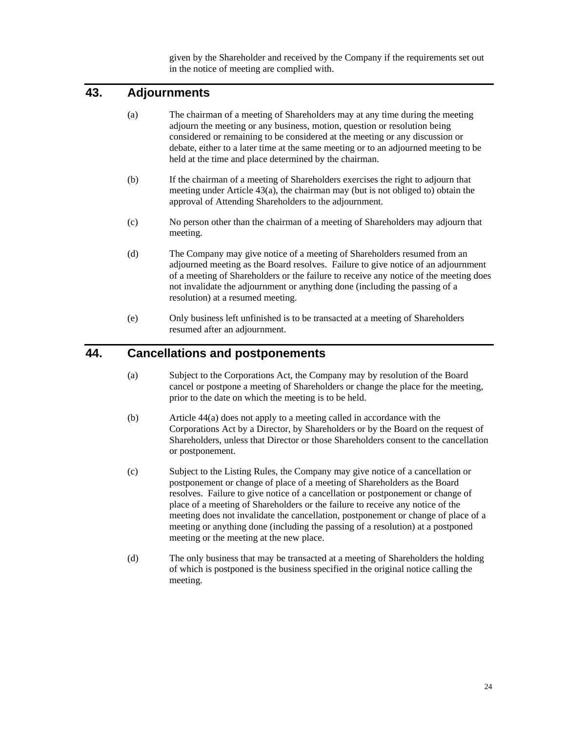given by the Shareholder and received by the Company if the requirements set out in the notice of meeting are complied with.

# **43. Adjournments**

- (a) The chairman of a meeting of Shareholders may at any time during the meeting adjourn the meeting or any business, motion, question or resolution being considered or remaining to be considered at the meeting or any discussion or debate, either to a later time at the same meeting or to an adjourned meeting to be held at the time and place determined by the chairman.
- (b) If the chairman of a meeting of Shareholders exercises the right to adjourn that meeting under Article 43(a), the chairman may (but is not obliged to) obtain the approval of Attending Shareholders to the adjournment.
- (c) No person other than the chairman of a meeting of Shareholders may adjourn that meeting.
- (d) The Company may give notice of a meeting of Shareholders resumed from an adjourned meeting as the Board resolves. Failure to give notice of an adjournment of a meeting of Shareholders or the failure to receive any notice of the meeting does not invalidate the adjournment or anything done (including the passing of a resolution) at a resumed meeting.
- (e) Only business left unfinished is to be transacted at a meeting of Shareholders resumed after an adjournment.

#### **44. Cancellations and postponements**

- (a) Subject to the Corporations Act, the Company may by resolution of the Board cancel or postpone a meeting of Shareholders or change the place for the meeting, prior to the date on which the meeting is to be held.
- (b) Article 44(a) does not apply to a meeting called in accordance with the Corporations Act by a Director, by Shareholders or by the Board on the request of Shareholders, unless that Director or those Shareholders consent to the cancellation or postponement.
- (c) Subject to the Listing Rules, the Company may give notice of a cancellation or postponement or change of place of a meeting of Shareholders as the Board resolves. Failure to give notice of a cancellation or postponement or change of place of a meeting of Shareholders or the failure to receive any notice of the meeting does not invalidate the cancellation, postponement or change of place of a meeting or anything done (including the passing of a resolution) at a postponed meeting or the meeting at the new place.
- (d) The only business that may be transacted at a meeting of Shareholders the holding of which is postponed is the business specified in the original notice calling the meeting.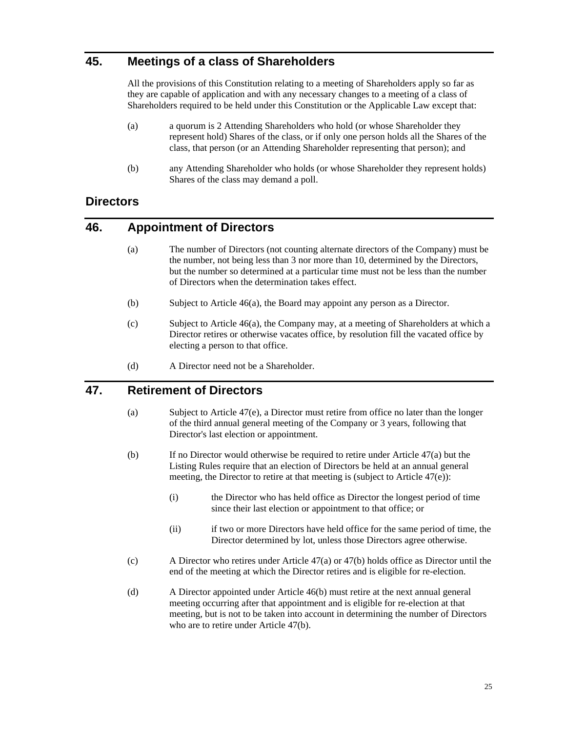# **45. Meetings of a class of Shareholders**

All the provisions of this Constitution relating to a meeting of Shareholders apply so far as they are capable of application and with any necessary changes to a meeting of a class of Shareholders required to be held under this Constitution or the Applicable Law except that:

- (a) a quorum is 2 Attending Shareholders who hold (or whose Shareholder they represent hold) Shares of the class, or if only one person holds all the Shares of the class, that person (or an Attending Shareholder representing that person); and
- (b) any Attending Shareholder who holds (or whose Shareholder they represent holds) Shares of the class may demand a poll.

# **Directors**

#### **46. Appointment of Directors**

- (a) The number of Directors (not counting alternate directors of the Company) must be the number, not being less than 3 nor more than 10, determined by the Directors, but the number so determined at a particular time must not be less than the number of Directors when the determination takes effect.
- (b) Subject to Article 46(a), the Board may appoint any person as a Director.
- (c) Subject to Article 46(a), the Company may, at a meeting of Shareholders at which a Director retires or otherwise vacates office, by resolution fill the vacated office by electing a person to that office.
- (d) A Director need not be a Shareholder.

# **47. Retirement of Directors**

- (a) Subject to Article 47(e), a Director must retire from office no later than the longer of the third annual general meeting of the Company or 3 years, following that Director's last election or appointment.
- (b) If no Director would otherwise be required to retire under Article 47(a) but the Listing Rules require that an election of Directors be held at an annual general meeting, the Director to retire at that meeting is (subject to Article 47(e)):
	- (i) the Director who has held office as Director the longest period of time since their last election or appointment to that office; or
	- (ii) if two or more Directors have held office for the same period of time, the Director determined by lot, unless those Directors agree otherwise.
- (c) A Director who retires under Article  $47(a)$  or  $47(b)$  holds office as Director until the end of the meeting at which the Director retires and is eligible for re-election.
- (d) A Director appointed under Article 46(b) must retire at the next annual general meeting occurring after that appointment and is eligible for re-election at that meeting, but is not to be taken into account in determining the number of Directors who are to retire under Article 47(b).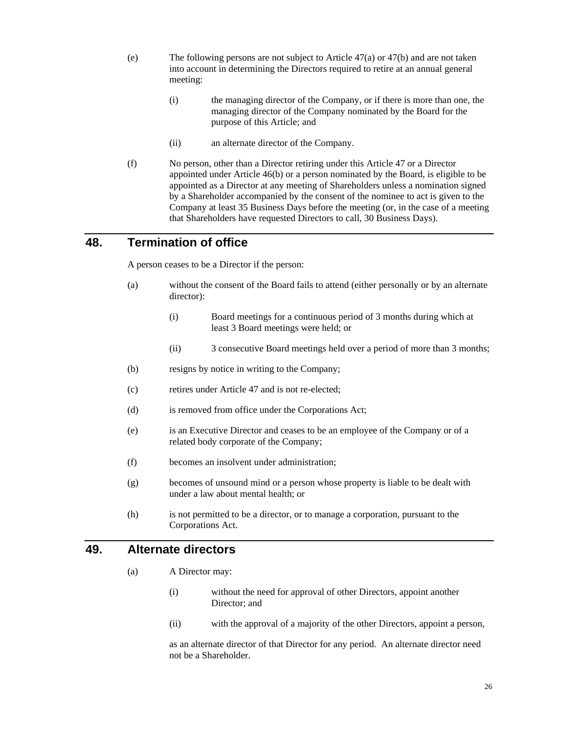- (e) The following persons are not subject to Article 47(a) or 47(b) and are not taken into account in determining the Directors required to retire at an annual general meeting:
	- (i) the managing director of the Company, or if there is more than one, the managing director of the Company nominated by the Board for the purpose of this Article; and
	- (ii) an alternate director of the Company.
- (f) No person, other than a Director retiring under this Article 47 or a Director appointed under Article 46(b) or a person nominated by the Board, is eligible to be appointed as a Director at any meeting of Shareholders unless a nomination signed by a Shareholder accompanied by the consent of the nominee to act is given to the Company at least 35 Business Days before the meeting (or, in the case of a meeting that Shareholders have requested Directors to call, 30 Business Days).

#### **48. Termination of office**

A person ceases to be a Director if the person:

- (a) without the consent of the Board fails to attend (either personally or by an alternate director):
	- (i) Board meetings for a continuous period of 3 months during which at least 3 Board meetings were held; or
	- (ii) 3 consecutive Board meetings held over a period of more than 3 months;
- (b) resigns by notice in writing to the Company;
- (c) retires under Article 47 and is not re-elected;
- (d) is removed from office under the Corporations Act;
- (e) is an Executive Director and ceases to be an employee of the Company or of a related body corporate of the Company;
- (f) becomes an insolvent under administration;
- (g) becomes of unsound mind or a person whose property is liable to be dealt with under a law about mental health; or
- (h) is not permitted to be a director, or to manage a corporation, pursuant to the Corporations Act.

#### **49. Alternate directors**

- (a) A Director may:
	- (i) without the need for approval of other Directors, appoint another Director; and
	- (ii) with the approval of a majority of the other Directors, appoint a person,

as an alternate director of that Director for any period. An alternate director need not be a Shareholder.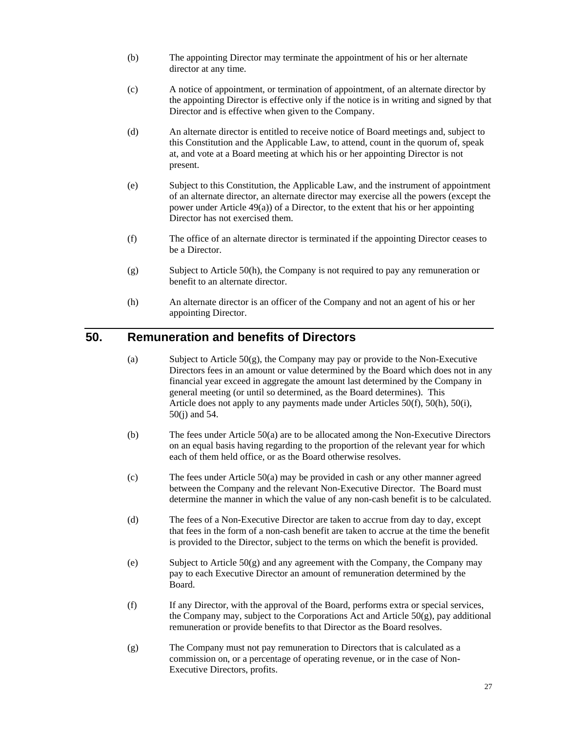- (b) The appointing Director may terminate the appointment of his or her alternate director at any time.
- (c) A notice of appointment, or termination of appointment, of an alternate director by the appointing Director is effective only if the notice is in writing and signed by that Director and is effective when given to the Company.
- (d) An alternate director is entitled to receive notice of Board meetings and, subject to this Constitution and the Applicable Law, to attend, count in the quorum of, speak at, and vote at a Board meeting at which his or her appointing Director is not present.
- (e) Subject to this Constitution, the Applicable Law, and the instrument of appointment of an alternate director, an alternate director may exercise all the powers (except the power under Article 49(a)) of a Director, to the extent that his or her appointing Director has not exercised them.
- (f) The office of an alternate director is terminated if the appointing Director ceases to be a Director.
- (g) Subject to Article 50(h), the Company is not required to pay any remuneration or benefit to an alternate director.
- (h) An alternate director is an officer of the Company and not an agent of his or her appointing Director.

# **50. Remuneration and benefits of Directors**

- (a) Subject to Article  $50(g)$ , the Company may pay or provide to the Non-Executive Directors fees in an amount or value determined by the Board which does not in any financial year exceed in aggregate the amount last determined by the Company in general meeting (or until so determined, as the Board determines). This Article does not apply to any payments made under Articles 50(f), 50(h), 50(i), 50(j) and 54.
- (b) The fees under Article 50(a) are to be allocated among the Non-Executive Directors on an equal basis having regarding to the proportion of the relevant year for which each of them held office, or as the Board otherwise resolves.
- (c) The fees under Article 50(a) may be provided in cash or any other manner agreed between the Company and the relevant Non-Executive Director. The Board must determine the manner in which the value of any non-cash benefit is to be calculated.
- (d) The fees of a Non-Executive Director are taken to accrue from day to day, except that fees in the form of a non-cash benefit are taken to accrue at the time the benefit is provided to the Director, subject to the terms on which the benefit is provided.
- (e) Subject to Article 50(g) and any agreement with the Company, the Company may pay to each Executive Director an amount of remuneration determined by the Board.
- (f) If any Director, with the approval of the Board, performs extra or special services, the Company may, subject to the Corporations Act and Article  $50(g)$ , pay additional remuneration or provide benefits to that Director as the Board resolves.
- (g) The Company must not pay remuneration to Directors that is calculated as a commission on, or a percentage of operating revenue, or in the case of Non-Executive Directors, profits.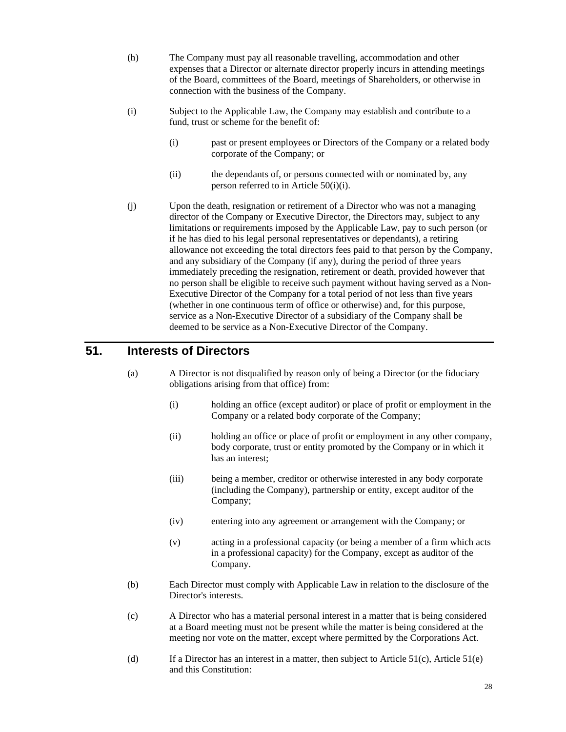- (h) The Company must pay all reasonable travelling, accommodation and other expenses that a Director or alternate director properly incurs in attending meetings of the Board, committees of the Board, meetings of Shareholders, or otherwise in connection with the business of the Company.
- (i) Subject to the Applicable Law, the Company may establish and contribute to a fund, trust or scheme for the benefit of:
	- (i) past or present employees or Directors of the Company or a related body corporate of the Company; or
	- (ii) the dependants of, or persons connected with or nominated by, any person referred to in Article 50(i)(i).
- (j) Upon the death, resignation or retirement of a Director who was not a managing director of the Company or Executive Director, the Directors may, subject to any limitations or requirements imposed by the Applicable Law, pay to such person (or if he has died to his legal personal representatives or dependants), a retiring allowance not exceeding the total directors fees paid to that person by the Company, and any subsidiary of the Company (if any), during the period of three years immediately preceding the resignation, retirement or death, provided however that no person shall be eligible to receive such payment without having served as a Non-Executive Director of the Company for a total period of not less than five years (whether in one continuous term of office or otherwise) and, for this purpose, service as a Non-Executive Director of a subsidiary of the Company shall be deemed to be service as a Non-Executive Director of the Company.

# **51. Interests of Directors**

- (a) A Director is not disqualified by reason only of being a Director (or the fiduciary obligations arising from that office) from:
	- (i) holding an office (except auditor) or place of profit or employment in the Company or a related body corporate of the Company;
	- (ii) holding an office or place of profit or employment in any other company, body corporate, trust or entity promoted by the Company or in which it has an interest;
	- (iii) being a member, creditor or otherwise interested in any body corporate (including the Company), partnership or entity, except auditor of the Company;
	- (iv) entering into any agreement or arrangement with the Company; or
	- (v) acting in a professional capacity (or being a member of a firm which acts in a professional capacity) for the Company, except as auditor of the Company.
- (b) Each Director must comply with Applicable Law in relation to the disclosure of the Director's interests.
- (c) A Director who has a material personal interest in a matter that is being considered at a Board meeting must not be present while the matter is being considered at the meeting nor vote on the matter, except where permitted by the Corporations Act.
- (d) If a Director has an interest in a matter, then subject to Article  $51(c)$ , Article  $51(e)$ and this Constitution: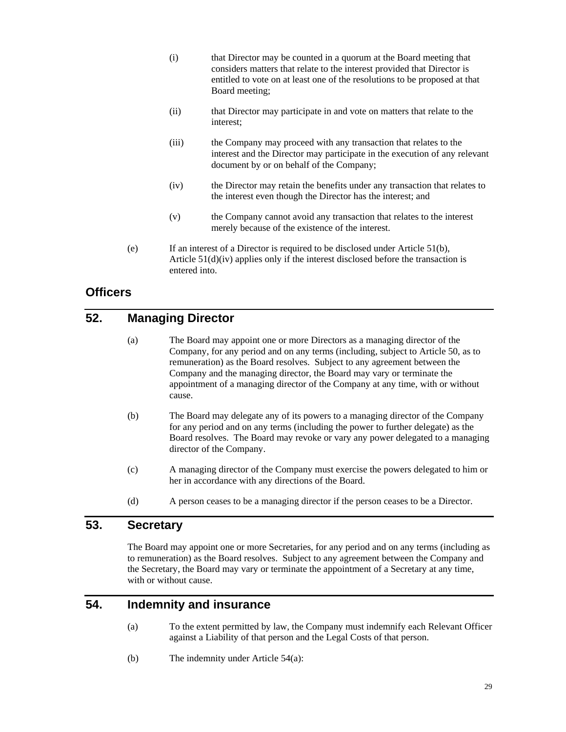- (i) that Director may be counted in a quorum at the Board meeting that considers matters that relate to the interest provided that Director is entitled to vote on at least one of the resolutions to be proposed at that Board meeting;
- (ii) that Director may participate in and vote on matters that relate to the interest;
- (iii) the Company may proceed with any transaction that relates to the interest and the Director may participate in the execution of any relevant document by or on behalf of the Company;
- (iv) the Director may retain the benefits under any transaction that relates to the interest even though the Director has the interest; and
- (v) the Company cannot avoid any transaction that relates to the interest merely because of the existence of the interest.
- (e) If an interest of a Director is required to be disclosed under Article 51(b), Article 51(d)(iv) applies only if the interest disclosed before the transaction is entered into.

# **Officers**

# **52. Managing Director**

- (a) The Board may appoint one or more Directors as a managing director of the Company, for any period and on any terms (including, subject to Article 50, as to remuneration) as the Board resolves. Subject to any agreement between the Company and the managing director, the Board may vary or terminate the appointment of a managing director of the Company at any time, with or without cause.
- (b) The Board may delegate any of its powers to a managing director of the Company for any period and on any terms (including the power to further delegate) as the Board resolves. The Board may revoke or vary any power delegated to a managing director of the Company.
- (c) A managing director of the Company must exercise the powers delegated to him or her in accordance with any directions of the Board.
- (d) A person ceases to be a managing director if the person ceases to be a Director.

#### **53. Secretary**

The Board may appoint one or more Secretaries, for any period and on any terms (including as to remuneration) as the Board resolves. Subject to any agreement between the Company and the Secretary, the Board may vary or terminate the appointment of a Secretary at any time, with or without cause.

#### **54. Indemnity and insurance**

- (a) To the extent permitted by law, the Company must indemnify each Relevant Officer against a Liability of that person and the Legal Costs of that person.
- (b) The indemnity under Article 54(a):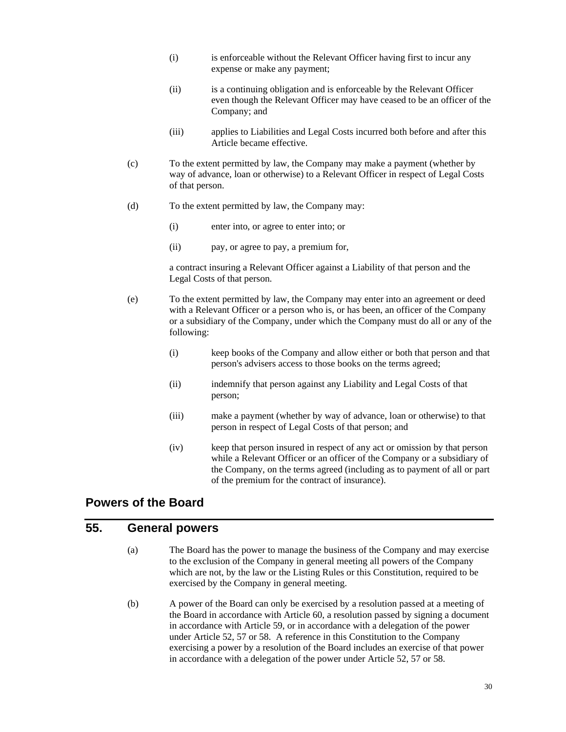- (i) is enforceable without the Relevant Officer having first to incur any expense or make any payment;
- (ii) is a continuing obligation and is enforceable by the Relevant Officer even though the Relevant Officer may have ceased to be an officer of the Company; and
- (iii) applies to Liabilities and Legal Costs incurred both before and after this Article became effective.
- (c) To the extent permitted by law, the Company may make a payment (whether by way of advance, loan or otherwise) to a Relevant Officer in respect of Legal Costs of that person.
- (d) To the extent permitted by law, the Company may:
	- (i) enter into, or agree to enter into; or
	- (ii) pay, or agree to pay, a premium for,

a contract insuring a Relevant Officer against a Liability of that person and the Legal Costs of that person.

- (e) To the extent permitted by law, the Company may enter into an agreement or deed with a Relevant Officer or a person who is, or has been, an officer of the Company or a subsidiary of the Company, under which the Company must do all or any of the following:
	- (i) keep books of the Company and allow either or both that person and that person's advisers access to those books on the terms agreed;
	- (ii) indemnify that person against any Liability and Legal Costs of that person;
	- (iii) make a payment (whether by way of advance, loan or otherwise) to that person in respect of Legal Costs of that person; and
	- (iv) keep that person insured in respect of any act or omission by that person while a Relevant Officer or an officer of the Company or a subsidiary of the Company, on the terms agreed (including as to payment of all or part of the premium for the contract of insurance).

#### **Powers of the Board**

#### **55. General powers**

- (a) The Board has the power to manage the business of the Company and may exercise to the exclusion of the Company in general meeting all powers of the Company which are not, by the law or the Listing Rules or this Constitution, required to be exercised by the Company in general meeting.
- (b) A power of the Board can only be exercised by a resolution passed at a meeting of the Board in accordance with Article 60, a resolution passed by signing a document in accordance with Article 59, or in accordance with a delegation of the power under Article 52, 57 or 58. A reference in this Constitution to the Company exercising a power by a resolution of the Board includes an exercise of that power in accordance with a delegation of the power under Article 52, 57 or 58.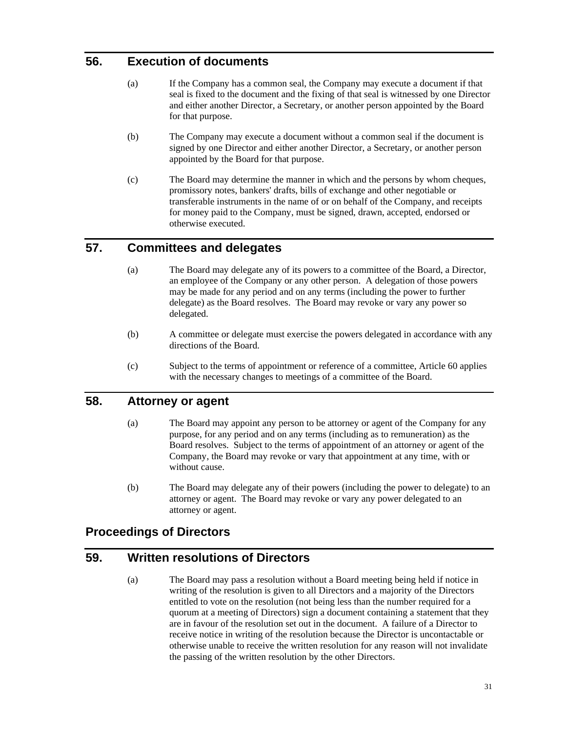# **56. Execution of documents**

- (a) If the Company has a common seal, the Company may execute a document if that seal is fixed to the document and the fixing of that seal is witnessed by one Director and either another Director, a Secretary, or another person appointed by the Board for that purpose.
- (b) The Company may execute a document without a common seal if the document is signed by one Director and either another Director, a Secretary, or another person appointed by the Board for that purpose.
- (c) The Board may determine the manner in which and the persons by whom cheques, promissory notes, bankers' drafts, bills of exchange and other negotiable or transferable instruments in the name of or on behalf of the Company, and receipts for money paid to the Company, must be signed, drawn, accepted, endorsed or otherwise executed.

# **57. Committees and delegates**

- (a) The Board may delegate any of its powers to a committee of the Board, a Director, an employee of the Company or any other person. A delegation of those powers may be made for any period and on any terms (including the power to further delegate) as the Board resolves. The Board may revoke or vary any power so delegated.
- (b) A committee or delegate must exercise the powers delegated in accordance with any directions of the Board.
- (c) Subject to the terms of appointment or reference of a committee, Article 60 applies with the necessary changes to meetings of a committee of the Board.

#### **58. Attorney or agent**

- (a) The Board may appoint any person to be attorney or agent of the Company for any purpose, for any period and on any terms (including as to remuneration) as the Board resolves. Subject to the terms of appointment of an attorney or agent of the Company, the Board may revoke or vary that appointment at any time, with or without cause.
- (b) The Board may delegate any of their powers (including the power to delegate) to an attorney or agent. The Board may revoke or vary any power delegated to an attorney or agent.

# **Proceedings of Directors**

#### **59. Written resolutions of Directors**

(a) The Board may pass a resolution without a Board meeting being held if notice in writing of the resolution is given to all Directors and a majority of the Directors entitled to vote on the resolution (not being less than the number required for a quorum at a meeting of Directors) sign a document containing a statement that they are in favour of the resolution set out in the document. A failure of a Director to receive notice in writing of the resolution because the Director is uncontactable or otherwise unable to receive the written resolution for any reason will not invalidate the passing of the written resolution by the other Directors.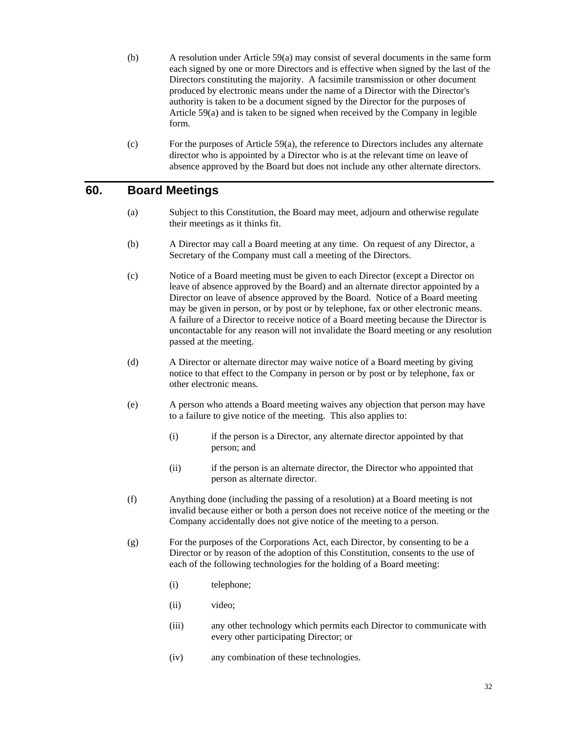- (b) A resolution under Article 59(a) may consist of several documents in the same form each signed by one or more Directors and is effective when signed by the last of the Directors constituting the majority. A facsimile transmission or other document produced by electronic means under the name of a Director with the Director's authority is taken to be a document signed by the Director for the purposes of Article 59(a) and is taken to be signed when received by the Company in legible form.
- (c) For the purposes of Article 59(a), the reference to Directors includes any alternate director who is appointed by a Director who is at the relevant time on leave of absence approved by the Board but does not include any other alternate directors.

#### **60. Board Meetings**

- (a) Subject to this Constitution, the Board may meet, adjourn and otherwise regulate their meetings as it thinks fit.
- (b) A Director may call a Board meeting at any time. On request of any Director, a Secretary of the Company must call a meeting of the Directors.
- (c) Notice of a Board meeting must be given to each Director (except a Director on leave of absence approved by the Board) and an alternate director appointed by a Director on leave of absence approved by the Board. Notice of a Board meeting may be given in person, or by post or by telephone, fax or other electronic means. A failure of a Director to receive notice of a Board meeting because the Director is uncontactable for any reason will not invalidate the Board meeting or any resolution passed at the meeting.
- (d) A Director or alternate director may waive notice of a Board meeting by giving notice to that effect to the Company in person or by post or by telephone, fax or other electronic means.
- (e) A person who attends a Board meeting waives any objection that person may have to a failure to give notice of the meeting. This also applies to:
	- (i) if the person is a Director, any alternate director appointed by that person; and
	- (ii) if the person is an alternate director, the Director who appointed that person as alternate director.
- (f) Anything done (including the passing of a resolution) at a Board meeting is not invalid because either or both a person does not receive notice of the meeting or the Company accidentally does not give notice of the meeting to a person.
- (g) For the purposes of the Corporations Act, each Director, by consenting to be a Director or by reason of the adoption of this Constitution, consents to the use of each of the following technologies for the holding of a Board meeting:
	- (i) telephone;
	- (ii) video;
	- (iii) any other technology which permits each Director to communicate with every other participating Director; or
	- (iv) any combination of these technologies.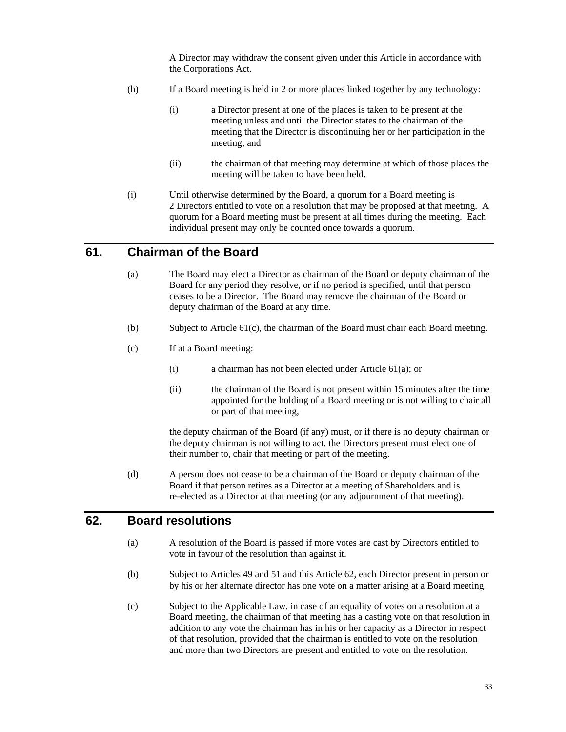A Director may withdraw the consent given under this Article in accordance with the Corporations Act.

- (h) If a Board meeting is held in 2 or more places linked together by any technology:
	- (i) a Director present at one of the places is taken to be present at the meeting unless and until the Director states to the chairman of the meeting that the Director is discontinuing her or her participation in the meeting; and
	- (ii) the chairman of that meeting may determine at which of those places the meeting will be taken to have been held.
- (i) Until otherwise determined by the Board, a quorum for a Board meeting is 2 Directors entitled to vote on a resolution that may be proposed at that meeting. A quorum for a Board meeting must be present at all times during the meeting. Each individual present may only be counted once towards a quorum.

#### **61. Chairman of the Board**

- (a) The Board may elect a Director as chairman of the Board or deputy chairman of the Board for any period they resolve, or if no period is specified, until that person ceases to be a Director. The Board may remove the chairman of the Board or deputy chairman of the Board at any time.
- (b) Subject to Article 61(c), the chairman of the Board must chair each Board meeting.
- (c) If at a Board meeting:
	- (i) a chairman has not been elected under Article 61(a); or
	- (ii) the chairman of the Board is not present within 15 minutes after the time appointed for the holding of a Board meeting or is not willing to chair all or part of that meeting,

the deputy chairman of the Board (if any) must, or if there is no deputy chairman or the deputy chairman is not willing to act, the Directors present must elect one of their number to, chair that meeting or part of the meeting.

(d) A person does not cease to be a chairman of the Board or deputy chairman of the Board if that person retires as a Director at a meeting of Shareholders and is re-elected as a Director at that meeting (or any adjournment of that meeting).

#### **62. Board resolutions**

- (a) A resolution of the Board is passed if more votes are cast by Directors entitled to vote in favour of the resolution than against it.
- (b) Subject to Articles 49 and 51 and this Article 62, each Director present in person or by his or her alternate director has one vote on a matter arising at a Board meeting.
- (c) Subject to the Applicable Law, in case of an equality of votes on a resolution at a Board meeting, the chairman of that meeting has a casting vote on that resolution in addition to any vote the chairman has in his or her capacity as a Director in respect of that resolution, provided that the chairman is entitled to vote on the resolution and more than two Directors are present and entitled to vote on the resolution.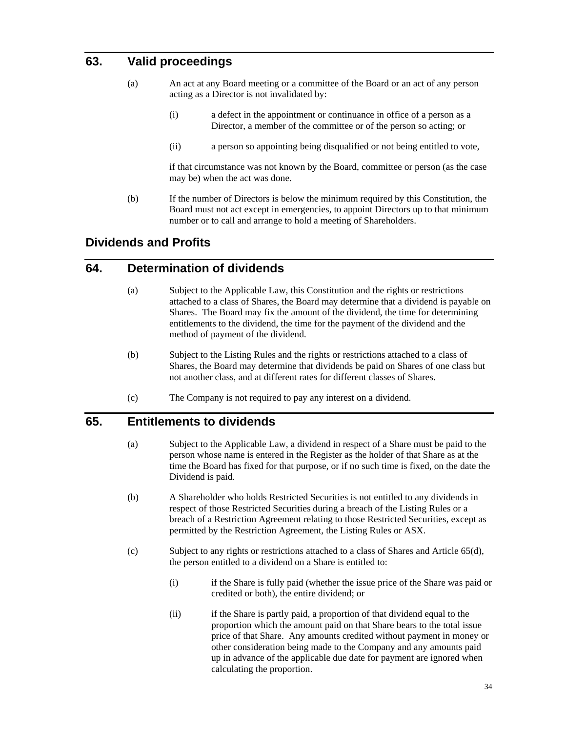# **63. Valid proceedings**

- (a) An act at any Board meeting or a committee of the Board or an act of any person acting as a Director is not invalidated by:
	- (i) a defect in the appointment or continuance in office of a person as a Director, a member of the committee or of the person so acting; or
	- (ii) a person so appointing being disqualified or not being entitled to vote,

if that circumstance was not known by the Board, committee or person (as the case may be) when the act was done.

(b) If the number of Directors is below the minimum required by this Constitution, the Board must not act except in emergencies, to appoint Directors up to that minimum number or to call and arrange to hold a meeting of Shareholders.

# **Dividends and Profits**

# **64. Determination of dividends**

- (a) Subject to the Applicable Law, this Constitution and the rights or restrictions attached to a class of Shares, the Board may determine that a dividend is payable on Shares. The Board may fix the amount of the dividend, the time for determining entitlements to the dividend, the time for the payment of the dividend and the method of payment of the dividend.
- (b) Subject to the Listing Rules and the rights or restrictions attached to a class of Shares, the Board may determine that dividends be paid on Shares of one class but not another class, and at different rates for different classes of Shares.
- (c) The Company is not required to pay any interest on a dividend.

#### **65. Entitlements to dividends**

- (a) Subject to the Applicable Law, a dividend in respect of a Share must be paid to the person whose name is entered in the Register as the holder of that Share as at the time the Board has fixed for that purpose, or if no such time is fixed, on the date the Dividend is paid.
- (b) A Shareholder who holds Restricted Securities is not entitled to any dividends in respect of those Restricted Securities during a breach of the Listing Rules or a breach of a Restriction Agreement relating to those Restricted Securities, except as permitted by the Restriction Agreement, the Listing Rules or ASX.
- (c) Subject to any rights or restrictions attached to a class of Shares and Article 65(d), the person entitled to a dividend on a Share is entitled to:
	- (i) if the Share is fully paid (whether the issue price of the Share was paid or credited or both), the entire dividend; or
	- (ii) if the Share is partly paid, a proportion of that dividend equal to the proportion which the amount paid on that Share bears to the total issue price of that Share. Any amounts credited without payment in money or other consideration being made to the Company and any amounts paid up in advance of the applicable due date for payment are ignored when calculating the proportion.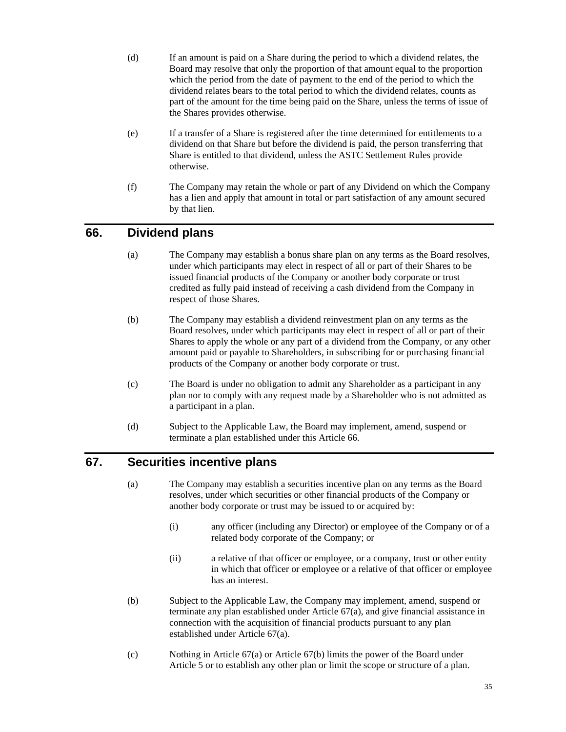- (d) If an amount is paid on a Share during the period to which a dividend relates, the Board may resolve that only the proportion of that amount equal to the proportion which the period from the date of payment to the end of the period to which the dividend relates bears to the total period to which the dividend relates, counts as part of the amount for the time being paid on the Share, unless the terms of issue of the Shares provides otherwise.
- (e) If a transfer of a Share is registered after the time determined for entitlements to a dividend on that Share but before the dividend is paid, the person transferring that Share is entitled to that dividend, unless the ASTC Settlement Rules provide otherwise.
- (f) The Company may retain the whole or part of any Dividend on which the Company has a lien and apply that amount in total or part satisfaction of any amount secured by that lien.

# **66. Dividend plans**

- (a) The Company may establish a bonus share plan on any terms as the Board resolves, under which participants may elect in respect of all or part of their Shares to be issued financial products of the Company or another body corporate or trust credited as fully paid instead of receiving a cash dividend from the Company in respect of those Shares.
- (b) The Company may establish a dividend reinvestment plan on any terms as the Board resolves, under which participants may elect in respect of all or part of their Shares to apply the whole or any part of a dividend from the Company, or any other amount paid or payable to Shareholders, in subscribing for or purchasing financial products of the Company or another body corporate or trust.
- (c) The Board is under no obligation to admit any Shareholder as a participant in any plan nor to comply with any request made by a Shareholder who is not admitted as a participant in a plan.
- (d) Subject to the Applicable Law, the Board may implement, amend, suspend or terminate a plan established under this Article 66.

# **67. Securities incentive plans**

- (a) The Company may establish a securities incentive plan on any terms as the Board resolves, under which securities or other financial products of the Company or another body corporate or trust may be issued to or acquired by:
	- (i) any officer (including any Director) or employee of the Company or of a related body corporate of the Company; or
	- (ii) a relative of that officer or employee, or a company, trust or other entity in which that officer or employee or a relative of that officer or employee has an interest.
- (b) Subject to the Applicable Law, the Company may implement, amend, suspend or terminate any plan established under Article 67(a), and give financial assistance in connection with the acquisition of financial products pursuant to any plan established under Article 67(a).
- (c) Nothing in Article 67(a) or Article 67(b) limits the power of the Board under Article 5 or to establish any other plan or limit the scope or structure of a plan.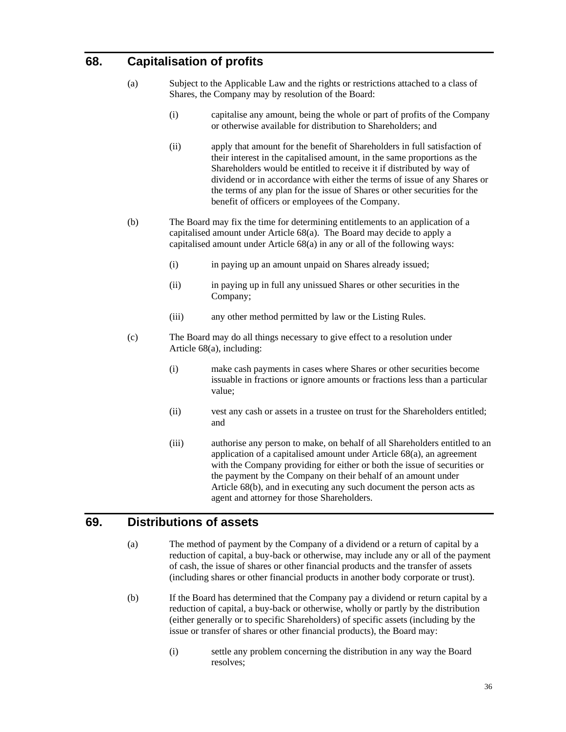# **68. Capitalisation of profits**

- (a) Subject to the Applicable Law and the rights or restrictions attached to a class of Shares, the Company may by resolution of the Board:
	- (i) capitalise any amount, being the whole or part of profits of the Company or otherwise available for distribution to Shareholders; and
	- (ii) apply that amount for the benefit of Shareholders in full satisfaction of their interest in the capitalised amount, in the same proportions as the Shareholders would be entitled to receive it if distributed by way of dividend or in accordance with either the terms of issue of any Shares or the terms of any plan for the issue of Shares or other securities for the benefit of officers or employees of the Company.
- (b) The Board may fix the time for determining entitlements to an application of a capitalised amount under Article 68(a). The Board may decide to apply a capitalised amount under Article 68(a) in any or all of the following ways:
	- (i) in paying up an amount unpaid on Shares already issued;
	- (ii) in paying up in full any unissued Shares or other securities in the Company;
	- (iii) any other method permitted by law or the Listing Rules.
- (c) The Board may do all things necessary to give effect to a resolution under Article 68(a), including:
	- (i) make cash payments in cases where Shares or other securities become issuable in fractions or ignore amounts or fractions less than a particular value;
	- (ii) vest any cash or assets in a trustee on trust for the Shareholders entitled; and
	- (iii) authorise any person to make, on behalf of all Shareholders entitled to an application of a capitalised amount under Article 68(a), an agreement with the Company providing for either or both the issue of securities or the payment by the Company on their behalf of an amount under Article 68(b), and in executing any such document the person acts as agent and attorney for those Shareholders.

#### **69. Distributions of assets**

- (a) The method of payment by the Company of a dividend or a return of capital by a reduction of capital, a buy-back or otherwise, may include any or all of the payment of cash, the issue of shares or other financial products and the transfer of assets (including shares or other financial products in another body corporate or trust).
- (b) If the Board has determined that the Company pay a dividend or return capital by a reduction of capital, a buy-back or otherwise, wholly or partly by the distribution (either generally or to specific Shareholders) of specific assets (including by the issue or transfer of shares or other financial products), the Board may:
	- (i) settle any problem concerning the distribution in any way the Board resolves;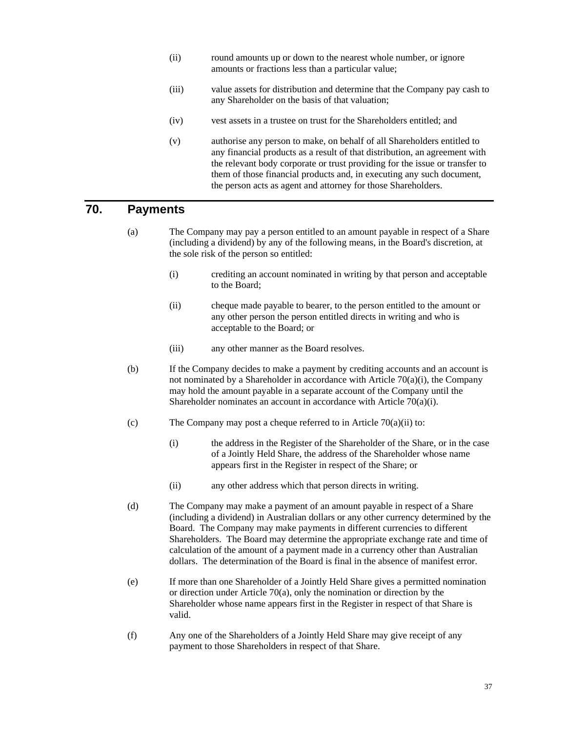- (ii) round amounts up or down to the nearest whole number, or ignore amounts or fractions less than a particular value;
- (iii) value assets for distribution and determine that the Company pay cash to any Shareholder on the basis of that valuation;
- (iv) vest assets in a trustee on trust for the Shareholders entitled; and
- (v) authorise any person to make, on behalf of all Shareholders entitled to any financial products as a result of that distribution, an agreement with the relevant body corporate or trust providing for the issue or transfer to them of those financial products and, in executing any such document, the person acts as agent and attorney for those Shareholders.

# **70. Payments**

- (a) The Company may pay a person entitled to an amount payable in respect of a Share (including a dividend) by any of the following means, in the Board's discretion, at the sole risk of the person so entitled:
	- (i) crediting an account nominated in writing by that person and acceptable to the Board;
	- (ii) cheque made payable to bearer, to the person entitled to the amount or any other person the person entitled directs in writing and who is acceptable to the Board; or
	- (iii) any other manner as the Board resolves.
- (b) If the Company decides to make a payment by crediting accounts and an account is not nominated by a Shareholder in accordance with Article 70(a)(i), the Company may hold the amount payable in a separate account of the Company until the Shareholder nominates an account in accordance with Article 70(a)(i).
- (c) The Company may post a cheque referred to in Article  $70(a)(ii)$  to:
	- (i) the address in the Register of the Shareholder of the Share, or in the case of a Jointly Held Share, the address of the Shareholder whose name appears first in the Register in respect of the Share; or
	- (ii) any other address which that person directs in writing.
- (d) The Company may make a payment of an amount payable in respect of a Share (including a dividend) in Australian dollars or any other currency determined by the Board. The Company may make payments in different currencies to different Shareholders. The Board may determine the appropriate exchange rate and time of calculation of the amount of a payment made in a currency other than Australian dollars. The determination of the Board is final in the absence of manifest error.
- (e) If more than one Shareholder of a Jointly Held Share gives a permitted nomination or direction under Article 70(a), only the nomination or direction by the Shareholder whose name appears first in the Register in respect of that Share is valid.
- (f) Any one of the Shareholders of a Jointly Held Share may give receipt of any payment to those Shareholders in respect of that Share.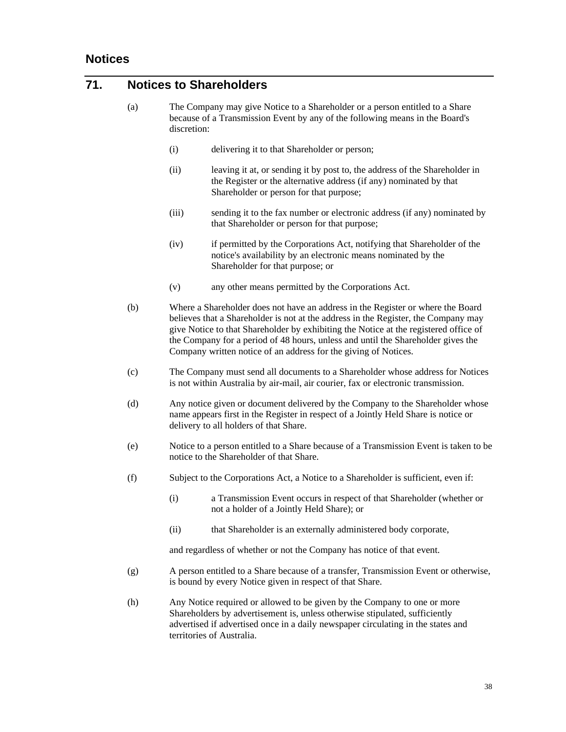# **71. Notices to Shareholders**

- (a) The Company may give Notice to a Shareholder or a person entitled to a Share because of a Transmission Event by any of the following means in the Board's discretion:
	- (i) delivering it to that Shareholder or person;
	- (ii) leaving it at, or sending it by post to, the address of the Shareholder in the Register or the alternative address (if any) nominated by that Shareholder or person for that purpose;
	- (iii) sending it to the fax number or electronic address (if any) nominated by that Shareholder or person for that purpose;
	- (iv) if permitted by the Corporations Act, notifying that Shareholder of the notice's availability by an electronic means nominated by the Shareholder for that purpose; or
	- (v) any other means permitted by the Corporations Act.
- (b) Where a Shareholder does not have an address in the Register or where the Board believes that a Shareholder is not at the address in the Register, the Company may give Notice to that Shareholder by exhibiting the Notice at the registered office of the Company for a period of 48 hours, unless and until the Shareholder gives the Company written notice of an address for the giving of Notices.
- (c) The Company must send all documents to a Shareholder whose address for Notices is not within Australia by air-mail, air courier, fax or electronic transmission.
- (d) Any notice given or document delivered by the Company to the Shareholder whose name appears first in the Register in respect of a Jointly Held Share is notice or delivery to all holders of that Share.
- (e) Notice to a person entitled to a Share because of a Transmission Event is taken to be notice to the Shareholder of that Share.
- (f) Subject to the Corporations Act, a Notice to a Shareholder is sufficient, even if:
	- (i) a Transmission Event occurs in respect of that Shareholder (whether or not a holder of a Jointly Held Share); or
	- (ii) that Shareholder is an externally administered body corporate,

and regardless of whether or not the Company has notice of that event.

- (g) A person entitled to a Share because of a transfer, Transmission Event or otherwise, is bound by every Notice given in respect of that Share.
- (h) Any Notice required or allowed to be given by the Company to one or more Shareholders by advertisement is, unless otherwise stipulated, sufficiently advertised if advertised once in a daily newspaper circulating in the states and territories of Australia.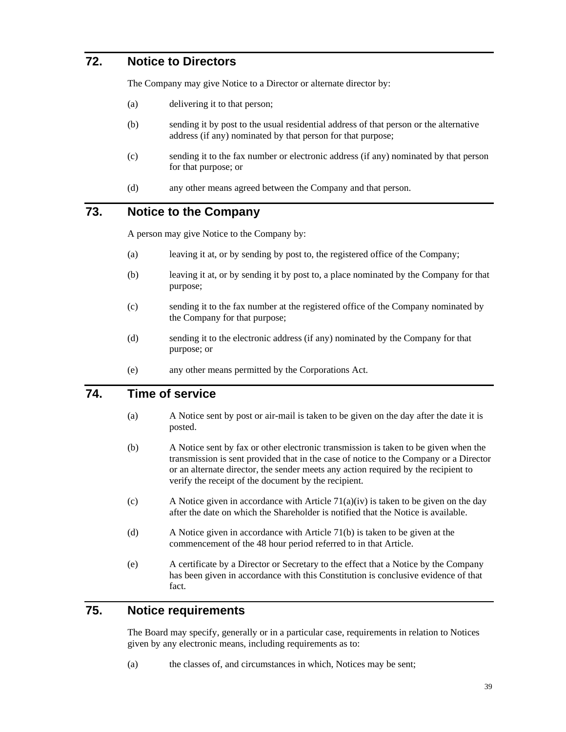# **72. Notice to Directors**

The Company may give Notice to a Director or alternate director by:

- (a) delivering it to that person;
- (b) sending it by post to the usual residential address of that person or the alternative address (if any) nominated by that person for that purpose;
- (c) sending it to the fax number or electronic address (if any) nominated by that person for that purpose; or
- (d) any other means agreed between the Company and that person.

#### **73. Notice to the Company**

A person may give Notice to the Company by:

- (a) leaving it at, or by sending by post to, the registered office of the Company;
- (b) leaving it at, or by sending it by post to, a place nominated by the Company for that purpose;
- (c) sending it to the fax number at the registered office of the Company nominated by the Company for that purpose;
- (d) sending it to the electronic address (if any) nominated by the Company for that purpose; or
- (e) any other means permitted by the Corporations Act.

#### **74. Time of service**

- (a) A Notice sent by post or air-mail is taken to be given on the day after the date it is posted.
- (b) A Notice sent by fax or other electronic transmission is taken to be given when the transmission is sent provided that in the case of notice to the Company or a Director or an alternate director, the sender meets any action required by the recipient to verify the receipt of the document by the recipient.
- (c) A Notice given in accordance with Article  $71(a)(iv)$  is taken to be given on the day after the date on which the Shareholder is notified that the Notice is available.
- (d) A Notice given in accordance with Article 71(b) is taken to be given at the commencement of the 48 hour period referred to in that Article.
- (e) A certificate by a Director or Secretary to the effect that a Notice by the Company has been given in accordance with this Constitution is conclusive evidence of that fact.

# **75. Notice requirements**

The Board may specify, generally or in a particular case, requirements in relation to Notices given by any electronic means, including requirements as to:

(a) the classes of, and circumstances in which, Notices may be sent;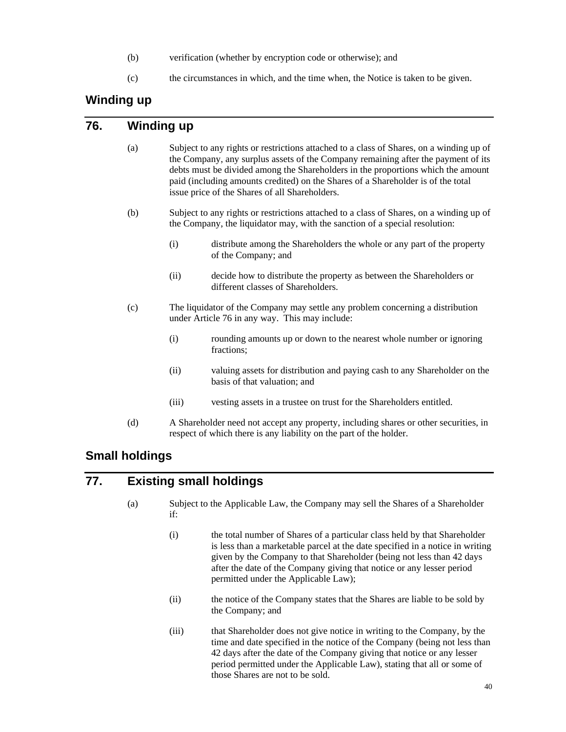- (b) verification (whether by encryption code or otherwise); and
- (c) the circumstances in which, and the time when, the Notice is taken to be given.

# **Winding up**

#### **76. Winding up**

- (a) Subject to any rights or restrictions attached to a class of Shares, on a winding up of the Company, any surplus assets of the Company remaining after the payment of its debts must be divided among the Shareholders in the proportions which the amount paid (including amounts credited) on the Shares of a Shareholder is of the total issue price of the Shares of all Shareholders.
- (b) Subject to any rights or restrictions attached to a class of Shares, on a winding up of the Company, the liquidator may, with the sanction of a special resolution:
	- (i) distribute among the Shareholders the whole or any part of the property of the Company; and
	- (ii) decide how to distribute the property as between the Shareholders or different classes of Shareholders.
- (c) The liquidator of the Company may settle any problem concerning a distribution under Article 76 in any way. This may include:
	- (i) rounding amounts up or down to the nearest whole number or ignoring fractions;
	- (ii) valuing assets for distribution and paying cash to any Shareholder on the basis of that valuation; and
	- (iii) vesting assets in a trustee on trust for the Shareholders entitled.
- (d) A Shareholder need not accept any property, including shares or other securities, in respect of which there is any liability on the part of the holder.

# **Small holdings**

# **77. Existing small holdings**

- (a) Subject to the Applicable Law, the Company may sell the Shares of a Shareholder if:
	- (i) the total number of Shares of a particular class held by that Shareholder is less than a marketable parcel at the date specified in a notice in writing given by the Company to that Shareholder (being not less than 42 days after the date of the Company giving that notice or any lesser period permitted under the Applicable Law);
	- (ii) the notice of the Company states that the Shares are liable to be sold by the Company; and
	- (iii) that Shareholder does not give notice in writing to the Company, by the time and date specified in the notice of the Company (being not less than 42 days after the date of the Company giving that notice or any lesser period permitted under the Applicable Law), stating that all or some of those Shares are not to be sold.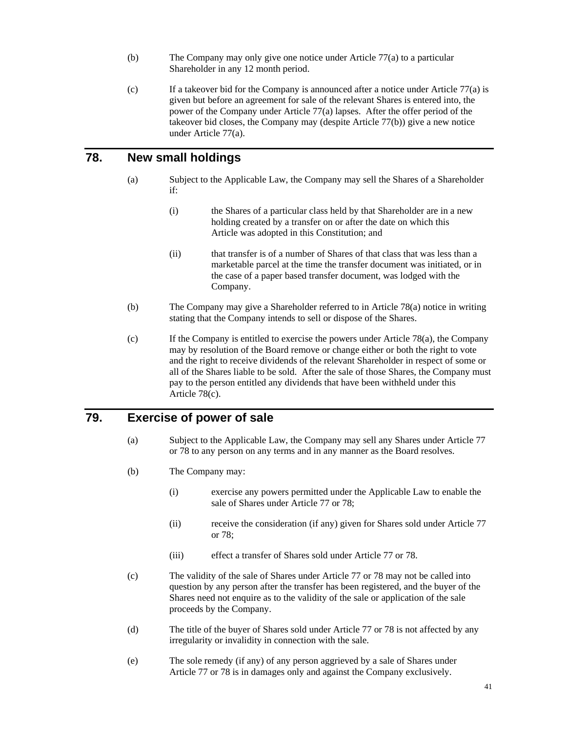- (b) The Company may only give one notice under Article 77(a) to a particular Shareholder in any 12 month period.
- (c) If a takeover bid for the Company is announced after a notice under Article 77(a) is given but before an agreement for sale of the relevant Shares is entered into, the power of the Company under Article 77(a) lapses. After the offer period of the takeover bid closes, the Company may (despite Article 77(b)) give a new notice under Article 77(a).

## **78. New small holdings**

- (a) Subject to the Applicable Law, the Company may sell the Shares of a Shareholder if:
	- (i) the Shares of a particular class held by that Shareholder are in a new holding created by a transfer on or after the date on which this Article was adopted in this Constitution; and
	- (ii) that transfer is of a number of Shares of that class that was less than a marketable parcel at the time the transfer document was initiated, or in the case of a paper based transfer document, was lodged with the Company.
- (b) The Company may give a Shareholder referred to in Article 78(a) notice in writing stating that the Company intends to sell or dispose of the Shares.
- (c) If the Company is entitled to exercise the powers under Article 78(a), the Company may by resolution of the Board remove or change either or both the right to vote and the right to receive dividends of the relevant Shareholder in respect of some or all of the Shares liable to be sold. After the sale of those Shares, the Company must pay to the person entitled any dividends that have been withheld under this Article 78(c).

# **79. Exercise of power of sale**

- (a) Subject to the Applicable Law, the Company may sell any Shares under Article 77 or 78 to any person on any terms and in any manner as the Board resolves.
- (b) The Company may:
	- (i) exercise any powers permitted under the Applicable Law to enable the sale of Shares under Article 77 or 78;
	- (ii) receive the consideration (if any) given for Shares sold under Article 77 or 78;
	- (iii) effect a transfer of Shares sold under Article 77 or 78.
- (c) The validity of the sale of Shares under Article 77 or 78 may not be called into question by any person after the transfer has been registered, and the buyer of the Shares need not enquire as to the validity of the sale or application of the sale proceeds by the Company.
- (d) The title of the buyer of Shares sold under Article 77 or 78 is not affected by any irregularity or invalidity in connection with the sale.
- (e) The sole remedy (if any) of any person aggrieved by a sale of Shares under Article 77 or 78 is in damages only and against the Company exclusively.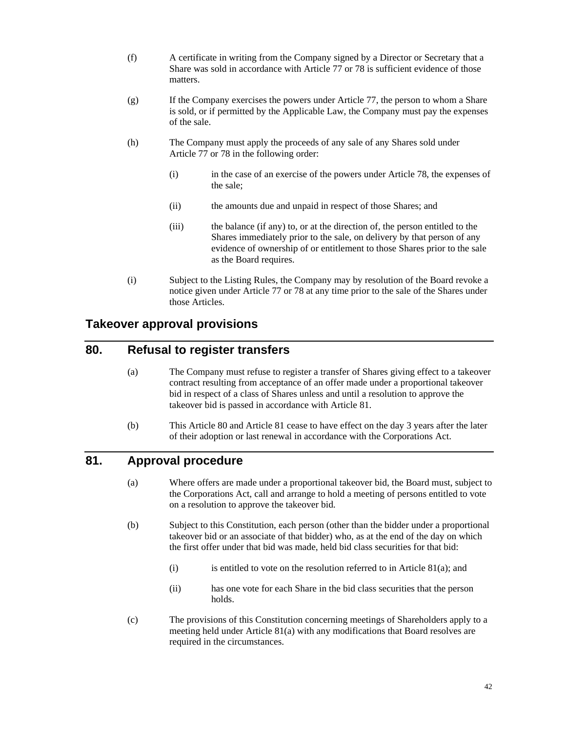- (f) A certificate in writing from the Company signed by a Director or Secretary that a Share was sold in accordance with Article 77 or 78 is sufficient evidence of those matters.
- (g) If the Company exercises the powers under Article 77, the person to whom a Share is sold, or if permitted by the Applicable Law, the Company must pay the expenses of the sale.
- (h) The Company must apply the proceeds of any sale of any Shares sold under Article 77 or 78 in the following order:
	- (i) in the case of an exercise of the powers under Article 78, the expenses of the sale;
	- (ii) the amounts due and unpaid in respect of those Shares; and
	- (iii) the balance (if any) to, or at the direction of, the person entitled to the Shares immediately prior to the sale, on delivery by that person of any evidence of ownership of or entitlement to those Shares prior to the sale as the Board requires.
- (i) Subject to the Listing Rules, the Company may by resolution of the Board revoke a notice given under Article 77 or 78 at any time prior to the sale of the Shares under those Articles.

# **Takeover approval provisions**

#### **80. Refusal to register transfers**

- (a) The Company must refuse to register a transfer of Shares giving effect to a takeover contract resulting from acceptance of an offer made under a proportional takeover bid in respect of a class of Shares unless and until a resolution to approve the takeover bid is passed in accordance with Article 81.
- (b) This Article 80 and Article 81 cease to have effect on the day 3 years after the later of their adoption or last renewal in accordance with the Corporations Act.

## **81. Approval procedure**

- (a) Where offers are made under a proportional takeover bid, the Board must, subject to the Corporations Act, call and arrange to hold a meeting of persons entitled to vote on a resolution to approve the takeover bid.
- (b) Subject to this Constitution, each person (other than the bidder under a proportional takeover bid or an associate of that bidder) who, as at the end of the day on which the first offer under that bid was made, held bid class securities for that bid:
	- (i) is entitled to vote on the resolution referred to in Article  $81(a)$ ; and
	- (ii) has one vote for each Share in the bid class securities that the person holds.
- (c) The provisions of this Constitution concerning meetings of Shareholders apply to a meeting held under Article 81(a) with any modifications that Board resolves are required in the circumstances.